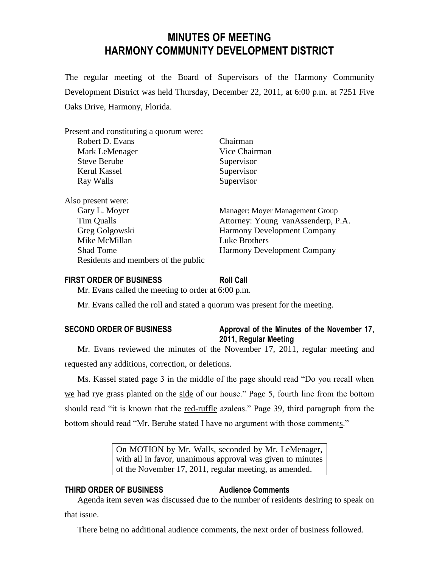# **MINUTES OF MEETING HARMONY COMMUNITY DEVELOPMENT DISTRICT**

The regular meeting of the Board of Supervisors of the Harmony Community Development District was held Thursday, December 22, 2011, at 6:00 p.m. at 7251 Five Oaks Drive, Harmony, Florida.

| Present and constituting a quorum were: |                                    |
|-----------------------------------------|------------------------------------|
| Robert D. Evans                         | Chairman                           |
| Mark LeMenager                          | Vice Chairman                      |
| <b>Steve Berube</b>                     | Supervisor                         |
| Kerul Kassel                            | Supervisor                         |
| Ray Walls                               | Supervisor                         |
| Also present were:                      |                                    |
| Gary L. Moyer                           | Manager: Moyer Management Group    |
| Tim Qualls                              | Attorney: Young vanAssenderp, P.A. |
| Greg Golgowski                          | <b>Harmony Development Company</b> |
| Mike McMillan                           | Luke Brothers                      |
| <b>Shad Tome</b>                        | <b>Harmony Development Company</b> |
| Residents and members of the public     |                                    |

# **FIRST ORDER OF BUSINESS Roll Call**

Mr. Evans called the meeting to order at 6:00 p.m.

Mr. Evans called the roll and stated a quorum was present for the meeting.

# **SECOND ORDER OF BUSINESS Approval of the Minutes of the November 17, 2011, Regular Meeting**

Mr. Evans reviewed the minutes of the November 17, 2011, regular meeting and requested any additions, correction, or deletions.

Ms. Kassel stated page 3 in the middle of the page should read "Do you recall when we had rye grass planted on the side of our house." Page 5, fourth line from the bottom should read "it is known that the red-ruffle azaleas." Page 39, third paragraph from the bottom should read "Mr. Berube stated I have no argument with those comments."

> On MOTION by Mr. Walls, seconded by Mr. LeMenager, with all in favor, unanimous approval was given to minutes of the November 17, 2011, regular meeting, as amended.

# **THIRD ORDER OF BUSINESS Audience Comments**

Agenda item seven was discussed due to the number of residents desiring to speak on that issue.

There being no additional audience comments, the next order of business followed.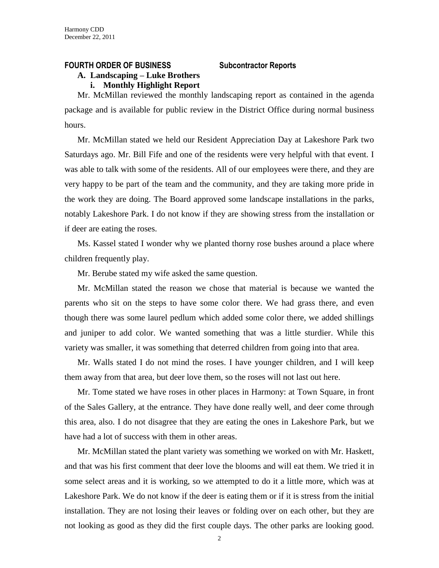#### **FOURTH ORDER OF BUSINESS Subcontractor Reports**

# **A. Landscaping – Luke Brothers**

**i. Monthly Highlight Report**

Mr. McMillan reviewed the monthly landscaping report as contained in the agenda package and is available for public review in the District Office during normal business hours.

Mr. McMillan stated we held our Resident Appreciation Day at Lakeshore Park two Saturdays ago. Mr. Bill Fife and one of the residents were very helpful with that event. I was able to talk with some of the residents. All of our employees were there, and they are very happy to be part of the team and the community, and they are taking more pride in the work they are doing. The Board approved some landscape installations in the parks, notably Lakeshore Park. I do not know if they are showing stress from the installation or if deer are eating the roses.

Ms. Kassel stated I wonder why we planted thorny rose bushes around a place where children frequently play.

Mr. Berube stated my wife asked the same question.

Mr. McMillan stated the reason we chose that material is because we wanted the parents who sit on the steps to have some color there. We had grass there, and even though there was some laurel pedlum which added some color there, we added shillings and juniper to add color. We wanted something that was a little sturdier. While this variety was smaller, it was something that deterred children from going into that area.

Mr. Walls stated I do not mind the roses. I have younger children, and I will keep them away from that area, but deer love them, so the roses will not last out here.

Mr. Tome stated we have roses in other places in Harmony: at Town Square, in front of the Sales Gallery, at the entrance. They have done really well, and deer come through this area, also. I do not disagree that they are eating the ones in Lakeshore Park, but we have had a lot of success with them in other areas.

Mr. McMillan stated the plant variety was something we worked on with Mr. Haskett, and that was his first comment that deer love the blooms and will eat them. We tried it in some select areas and it is working, so we attempted to do it a little more, which was at Lakeshore Park. We do not know if the deer is eating them or if it is stress from the initial installation. They are not losing their leaves or folding over on each other, but they are not looking as good as they did the first couple days. The other parks are looking good.

 $\mathcal{L}$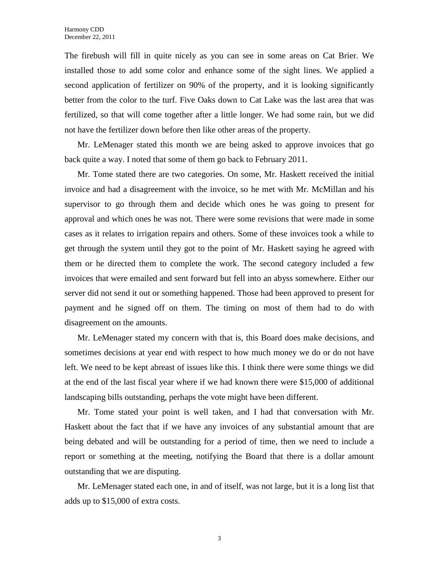The firebush will fill in quite nicely as you can see in some areas on Cat Brier. We installed those to add some color and enhance some of the sight lines. We applied a second application of fertilizer on 90% of the property, and it is looking significantly better from the color to the turf. Five Oaks down to Cat Lake was the last area that was fertilized, so that will come together after a little longer. We had some rain, but we did not have the fertilizer down before then like other areas of the property.

Mr. LeMenager stated this month we are being asked to approve invoices that go back quite a way. I noted that some of them go back to February 2011.

Mr. Tome stated there are two categories. On some, Mr. Haskett received the initial invoice and had a disagreement with the invoice, so he met with Mr. McMillan and his supervisor to go through them and decide which ones he was going to present for approval and which ones he was not. There were some revisions that were made in some cases as it relates to irrigation repairs and others. Some of these invoices took a while to get through the system until they got to the point of Mr. Haskett saying he agreed with them or he directed them to complete the work. The second category included a few invoices that were emailed and sent forward but fell into an abyss somewhere. Either our server did not send it out or something happened. Those had been approved to present for payment and he signed off on them. The timing on most of them had to do with disagreement on the amounts.

Mr. LeMenager stated my concern with that is, this Board does make decisions, and sometimes decisions at year end with respect to how much money we do or do not have left. We need to be kept abreast of issues like this. I think there were some things we did at the end of the last fiscal year where if we had known there were \$15,000 of additional landscaping bills outstanding, perhaps the vote might have been different.

Mr. Tome stated your point is well taken, and I had that conversation with Mr. Haskett about the fact that if we have any invoices of any substantial amount that are being debated and will be outstanding for a period of time, then we need to include a report or something at the meeting, notifying the Board that there is a dollar amount outstanding that we are disputing.

Mr. LeMenager stated each one, in and of itself, was not large, but it is a long list that adds up to \$15,000 of extra costs.

3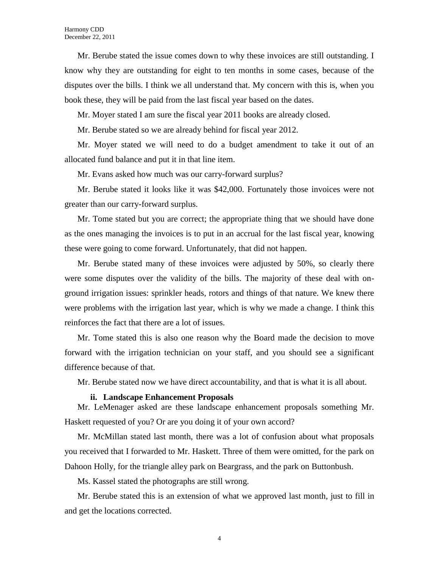Mr. Berube stated the issue comes down to why these invoices are still outstanding. I know why they are outstanding for eight to ten months in some cases, because of the disputes over the bills. I think we all understand that. My concern with this is, when you book these, they will be paid from the last fiscal year based on the dates.

Mr. Moyer stated I am sure the fiscal year 2011 books are already closed.

Mr. Berube stated so we are already behind for fiscal year 2012.

Mr. Moyer stated we will need to do a budget amendment to take it out of an allocated fund balance and put it in that line item.

Mr. Evans asked how much was our carry-forward surplus?

Mr. Berube stated it looks like it was \$42,000. Fortunately those invoices were not greater than our carry-forward surplus.

Mr. Tome stated but you are correct; the appropriate thing that we should have done as the ones managing the invoices is to put in an accrual for the last fiscal year, knowing these were going to come forward. Unfortunately, that did not happen.

Mr. Berube stated many of these invoices were adjusted by 50%, so clearly there were some disputes over the validity of the bills. The majority of these deal with onground irrigation issues: sprinkler heads, rotors and things of that nature. We knew there were problems with the irrigation last year, which is why we made a change. I think this reinforces the fact that there are a lot of issues.

Mr. Tome stated this is also one reason why the Board made the decision to move forward with the irrigation technician on your staff, and you should see a significant difference because of that.

Mr. Berube stated now we have direct accountability, and that is what it is all about.

#### **ii. Landscape Enhancement Proposals**

Mr. LeMenager asked are these landscape enhancement proposals something Mr. Haskett requested of you? Or are you doing it of your own accord?

Mr. McMillan stated last month, there was a lot of confusion about what proposals you received that I forwarded to Mr. Haskett. Three of them were omitted, for the park on Dahoon Holly, for the triangle alley park on Beargrass, and the park on Buttonbush.

Ms. Kassel stated the photographs are still wrong.

Mr. Berube stated this is an extension of what we approved last month, just to fill in and get the locations corrected.

4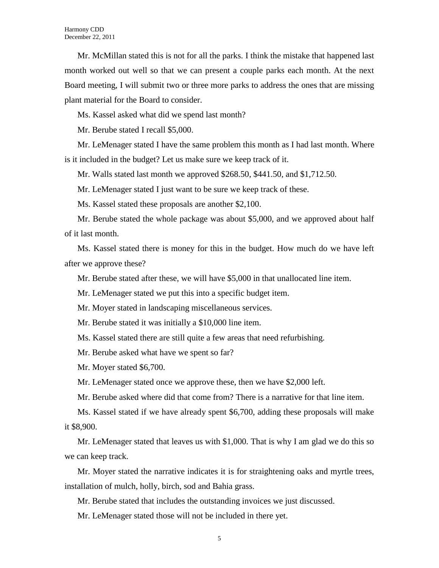Mr. McMillan stated this is not for all the parks. I think the mistake that happened last month worked out well so that we can present a couple parks each month. At the next Board meeting, I will submit two or three more parks to address the ones that are missing plant material for the Board to consider.

Ms. Kassel asked what did we spend last month?

Mr. Berube stated I recall \$5,000.

Mr. LeMenager stated I have the same problem this month as I had last month. Where is it included in the budget? Let us make sure we keep track of it.

Mr. Walls stated last month we approved \$268.50, \$441.50, and \$1,712.50.

Mr. LeMenager stated I just want to be sure we keep track of these.

Ms. Kassel stated these proposals are another \$2,100.

Mr. Berube stated the whole package was about \$5,000, and we approved about half of it last month.

Ms. Kassel stated there is money for this in the budget. How much do we have left after we approve these?

Mr. Berube stated after these, we will have \$5,000 in that unallocated line item.

Mr. LeMenager stated we put this into a specific budget item.

Mr. Moyer stated in landscaping miscellaneous services.

Mr. Berube stated it was initially a \$10,000 line item.

Ms. Kassel stated there are still quite a few areas that need refurbishing.

Mr. Berube asked what have we spent so far?

Mr. Moyer stated \$6,700.

Mr. LeMenager stated once we approve these, then we have \$2,000 left.

Mr. Berube asked where did that come from? There is a narrative for that line item.

Ms. Kassel stated if we have already spent \$6,700, adding these proposals will make it \$8,900.

Mr. LeMenager stated that leaves us with \$1,000. That is why I am glad we do this so we can keep track.

Mr. Moyer stated the narrative indicates it is for straightening oaks and myrtle trees, installation of mulch, holly, birch, sod and Bahia grass.

Mr. Berube stated that includes the outstanding invoices we just discussed.

Mr. LeMenager stated those will not be included in there yet.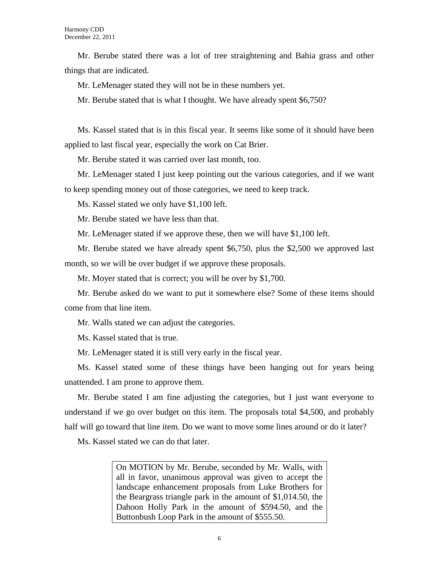Mr. Berube stated there was a lot of tree straightening and Bahia grass and other things that are indicated.

Mr. LeMenager stated they will not be in these numbers yet.

Mr. Berube stated that is what I thought. We have already spent \$6,750?

Ms. Kassel stated that is in this fiscal year. It seems like some of it should have been applied to last fiscal year, especially the work on Cat Brier.

Mr. Berube stated it was carried over last month, too.

Mr. LeMenager stated I just keep pointing out the various categories, and if we want to keep spending money out of those categories, we need to keep track.

Ms. Kassel stated we only have \$1,100 left.

Mr. Berube stated we have less than that.

Mr. LeMenager stated if we approve these, then we will have \$1,100 left.

Mr. Berube stated we have already spent \$6,750, plus the \$2,500 we approved last month, so we will be over budget if we approve these proposals.

Mr. Moyer stated that is correct; you will be over by \$1,700.

Mr. Berube asked do we want to put it somewhere else? Some of these items should come from that line item.

Mr. Walls stated we can adjust the categories.

Ms. Kassel stated that is true.

Mr. LeMenager stated it is still very early in the fiscal year.

Ms. Kassel stated some of these things have been hanging out for years being unattended. I am prone to approve them.

Mr. Berube stated I am fine adjusting the categories, but I just want everyone to understand if we go over budget on this item. The proposals total \$4,500, and probably half will go toward that line item. Do we want to move some lines around or do it later?

Ms. Kassel stated we can do that later.

On MOTION by Mr. Berube, seconded by Mr. Walls, with all in favor, unanimous approval was given to accept the landscape enhancement proposals from Luke Brothers for the Beargrass triangle park in the amount of \$1,014.50, the Dahoon Holly Park in the amount of \$594.50, and the Buttonbush Loop Park in the amount of \$555.50.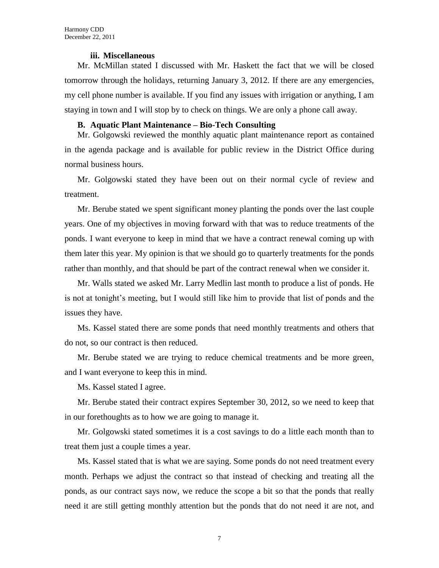### **iii. Miscellaneous**

Mr. McMillan stated I discussed with Mr. Haskett the fact that we will be closed tomorrow through the holidays, returning January 3, 2012. If there are any emergencies, my cell phone number is available. If you find any issues with irrigation or anything, I am staying in town and I will stop by to check on things. We are only a phone call away.

### **B. Aquatic Plant Maintenance – Bio-Tech Consulting**

Mr. Golgowski reviewed the monthly aquatic plant maintenance report as contained in the agenda package and is available for public review in the District Office during normal business hours.

Mr. Golgowski stated they have been out on their normal cycle of review and treatment.

Mr. Berube stated we spent significant money planting the ponds over the last couple years. One of my objectives in moving forward with that was to reduce treatments of the ponds. I want everyone to keep in mind that we have a contract renewal coming up with them later this year. My opinion is that we should go to quarterly treatments for the ponds rather than monthly, and that should be part of the contract renewal when we consider it.

Mr. Walls stated we asked Mr. Larry Medlin last month to produce a list of ponds. He is not at tonight's meeting, but I would still like him to provide that list of ponds and the issues they have.

Ms. Kassel stated there are some ponds that need monthly treatments and others that do not, so our contract is then reduced.

Mr. Berube stated we are trying to reduce chemical treatments and be more green, and I want everyone to keep this in mind.

Ms. Kassel stated I agree.

Mr. Berube stated their contract expires September 30, 2012, so we need to keep that in our forethoughts as to how we are going to manage it.

Mr. Golgowski stated sometimes it is a cost savings to do a little each month than to treat them just a couple times a year.

Ms. Kassel stated that is what we are saying. Some ponds do not need treatment every month. Perhaps we adjust the contract so that instead of checking and treating all the ponds, as our contract says now, we reduce the scope a bit so that the ponds that really need it are still getting monthly attention but the ponds that do not need it are not, and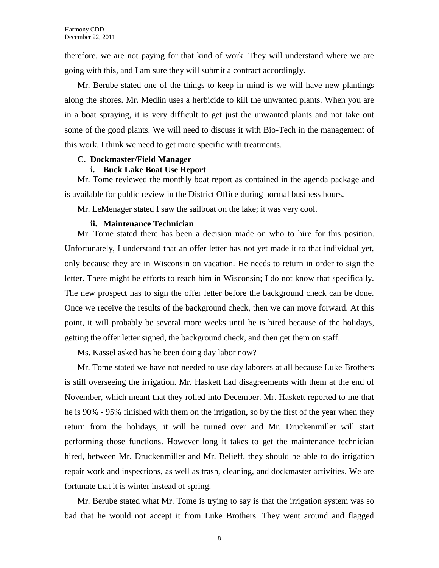therefore, we are not paying for that kind of work. They will understand where we are going with this, and I am sure they will submit a contract accordingly.

Mr. Berube stated one of the things to keep in mind is we will have new plantings along the shores. Mr. Medlin uses a herbicide to kill the unwanted plants. When you are in a boat spraying, it is very difficult to get just the unwanted plants and not take out some of the good plants. We will need to discuss it with Bio-Tech in the management of this work. I think we need to get more specific with treatments.

#### **C. Dockmaster/Field Manager**

### **i. Buck Lake Boat Use Report**

Mr. Tome reviewed the monthly boat report as contained in the agenda package and is available for public review in the District Office during normal business hours.

Mr. LeMenager stated I saw the sailboat on the lake; it was very cool.

#### **ii. Maintenance Technician**

Mr. Tome stated there has been a decision made on who to hire for this position. Unfortunately, I understand that an offer letter has not yet made it to that individual yet, only because they are in Wisconsin on vacation. He needs to return in order to sign the letter. There might be efforts to reach him in Wisconsin; I do not know that specifically. The new prospect has to sign the offer letter before the background check can be done. Once we receive the results of the background check, then we can move forward. At this point, it will probably be several more weeks until he is hired because of the holidays, getting the offer letter signed, the background check, and then get them on staff.

Ms. Kassel asked has he been doing day labor now?

Mr. Tome stated we have not needed to use day laborers at all because Luke Brothers is still overseeing the irrigation. Mr. Haskett had disagreements with them at the end of November, which meant that they rolled into December. Mr. Haskett reported to me that he is 90% - 95% finished with them on the irrigation, so by the first of the year when they return from the holidays, it will be turned over and Mr. Druckenmiller will start performing those functions. However long it takes to get the maintenance technician hired, between Mr. Druckenmiller and Mr. Belieff, they should be able to do irrigation repair work and inspections, as well as trash, cleaning, and dockmaster activities. We are fortunate that it is winter instead of spring.

Mr. Berube stated what Mr. Tome is trying to say is that the irrigation system was so bad that he would not accept it from Luke Brothers. They went around and flagged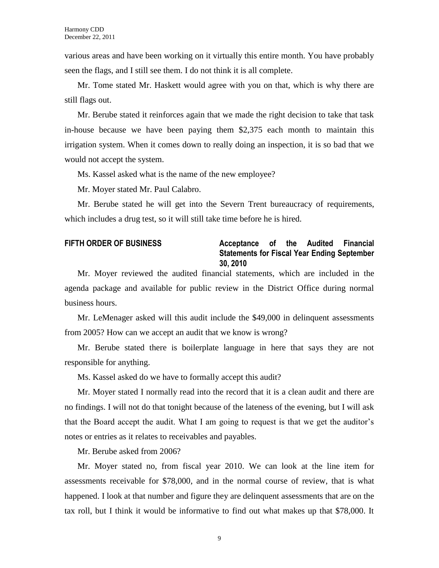various areas and have been working on it virtually this entire month. You have probably seen the flags, and I still see them. I do not think it is all complete.

Mr. Tome stated Mr. Haskett would agree with you on that, which is why there are still flags out.

Mr. Berube stated it reinforces again that we made the right decision to take that task in-house because we have been paying them \$2,375 each month to maintain this irrigation system. When it comes down to really doing an inspection, it is so bad that we would not accept the system.

Ms. Kassel asked what is the name of the new employee?

Mr. Moyer stated Mr. Paul Calabro.

Mr. Berube stated he will get into the Severn Trent bureaucracy of requirements, which includes a drug test, so it will still take time before he is hired.

# **FIFTH ORDER OF BUSINESS Acceptance of the Audited Financial Statements for Fiscal Year Ending September 30, 2010**

Mr. Moyer reviewed the audited financial statements, which are included in the agenda package and available for public review in the District Office during normal business hours.

Mr. LeMenager asked will this audit include the \$49,000 in delinquent assessments from 2005? How can we accept an audit that we know is wrong?

Mr. Berube stated there is boilerplate language in here that says they are not responsible for anything.

Ms. Kassel asked do we have to formally accept this audit?

Mr. Moyer stated I normally read into the record that it is a clean audit and there are no findings. I will not do that tonight because of the lateness of the evening, but I will ask that the Board accept the audit. What I am going to request is that we get the auditor's notes or entries as it relates to receivables and payables.

Mr. Berube asked from 2006?

Mr. Moyer stated no, from fiscal year 2010. We can look at the line item for assessments receivable for \$78,000, and in the normal course of review, that is what happened. I look at that number and figure they are delinquent assessments that are on the tax roll, but I think it would be informative to find out what makes up that \$78,000. It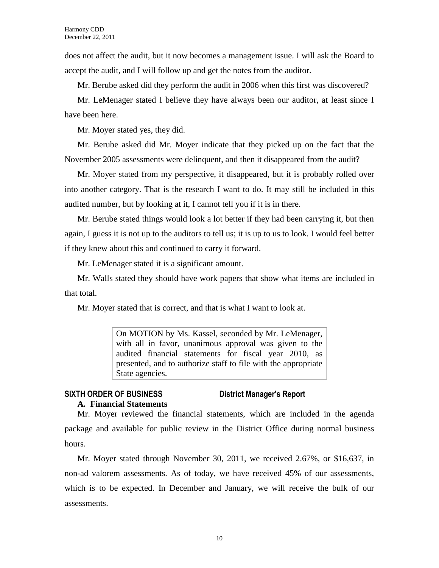does not affect the audit, but it now becomes a management issue. I will ask the Board to accept the audit, and I will follow up and get the notes from the auditor.

Mr. Berube asked did they perform the audit in 2006 when this first was discovered?

Mr. LeMenager stated I believe they have always been our auditor, at least since I have been here.

Mr. Moyer stated yes, they did.

Mr. Berube asked did Mr. Moyer indicate that they picked up on the fact that the November 2005 assessments were delinquent, and then it disappeared from the audit?

Mr. Moyer stated from my perspective, it disappeared, but it is probably rolled over into another category. That is the research I want to do. It may still be included in this audited number, but by looking at it, I cannot tell you if it is in there.

Mr. Berube stated things would look a lot better if they had been carrying it, but then again, I guess it is not up to the auditors to tell us; it is up to us to look. I would feel better if they knew about this and continued to carry it forward.

Mr. LeMenager stated it is a significant amount.

Mr. Walls stated they should have work papers that show what items are included in that total.

Mr. Moyer stated that is correct, and that is what I want to look at.

On MOTION by Ms. Kassel, seconded by Mr. LeMenager, with all in favor, unanimous approval was given to the audited financial statements for fiscal year 2010, as presented, and to authorize staff to file with the appropriate State agencies.

# **SIXTH ORDER OF BUSINESS District Manager's Report A. Financial Statements**

Mr. Moyer reviewed the financial statements, which are included in the agenda package and available for public review in the District Office during normal business hours.

Mr. Moyer stated through November 30, 2011, we received 2.67%, or \$16,637, in non-ad valorem assessments. As of today, we have received 45% of our assessments, which is to be expected. In December and January, we will receive the bulk of our assessments.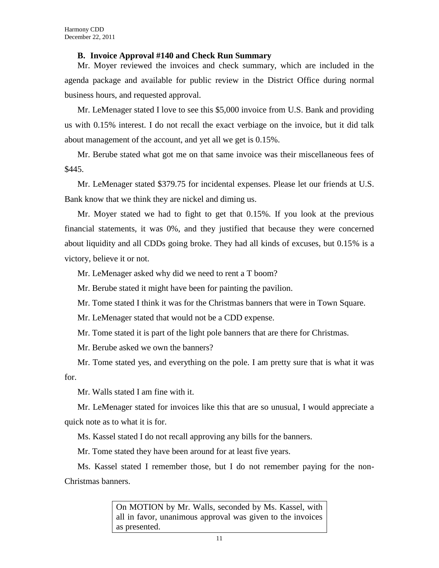# **B. Invoice Approval #140 and Check Run Summary**

Mr. Moyer reviewed the invoices and check summary, which are included in the agenda package and available for public review in the District Office during normal business hours, and requested approval.

Mr. LeMenager stated I love to see this \$5,000 invoice from U.S. Bank and providing us with 0.15% interest. I do not recall the exact verbiage on the invoice, but it did talk about management of the account, and yet all we get is 0.15%.

Mr. Berube stated what got me on that same invoice was their miscellaneous fees of \$445.

Mr. LeMenager stated \$379.75 for incidental expenses. Please let our friends at U.S. Bank know that we think they are nickel and diming us.

Mr. Moyer stated we had to fight to get that 0.15%. If you look at the previous financial statements, it was 0%, and they justified that because they were concerned about liquidity and all CDDs going broke. They had all kinds of excuses, but 0.15% is a victory, believe it or not.

Mr. LeMenager asked why did we need to rent a T boom?

Mr. Berube stated it might have been for painting the pavilion.

Mr. Tome stated I think it was for the Christmas banners that were in Town Square.

Mr. LeMenager stated that would not be a CDD expense.

Mr. Tome stated it is part of the light pole banners that are there for Christmas.

Mr. Berube asked we own the banners?

Mr. Tome stated yes, and everything on the pole. I am pretty sure that is what it was for.

Mr. Walls stated I am fine with it.

Mr. LeMenager stated for invoices like this that are so unusual, I would appreciate a quick note as to what it is for.

Ms. Kassel stated I do not recall approving any bills for the banners.

Mr. Tome stated they have been around for at least five years.

Ms. Kassel stated I remember those, but I do not remember paying for the non-Christmas banners.

> On MOTION by Mr. Walls, seconded by Ms. Kassel, with all in favor, unanimous approval was given to the invoices as presented.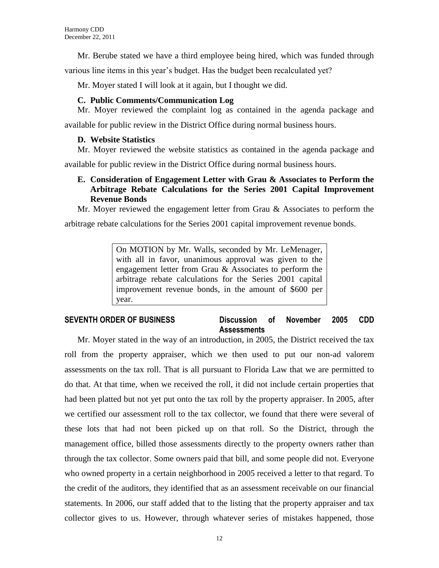Mr. Berube stated we have a third employee being hired, which was funded through

various line items in this year's budget. Has the budget been recalculated yet?

Mr. Moyer stated I will look at it again, but I thought we did.

# **C. Public Comments/Communication Log**

Mr. Moyer reviewed the complaint log as contained in the agenda package and available for public review in the District Office during normal business hours.

# **D. Website Statistics**

Mr. Moyer reviewed the website statistics as contained in the agenda package and

available for public review in the District Office during normal business hours.

# **E. Consideration of Engagement Letter with Grau & Associates to Perform the Arbitrage Rebate Calculations for the Series 2001 Capital Improvement Revenue Bonds**

Mr. Moyer reviewed the engagement letter from Grau & Associates to perform the arbitrage rebate calculations for the Series 2001 capital improvement revenue bonds.

> On MOTION by Mr. Walls, seconded by Mr. LeMenager, with all in favor, unanimous approval was given to the engagement letter from Grau & Associates to perform the arbitrage rebate calculations for the Series 2001 capital improvement revenue bonds, in the amount of \$600 per year.

# **SEVENTH ORDER OF BUSINESS Discussion of November 2005 CDD Assessments**

Mr. Moyer stated in the way of an introduction, in 2005, the District received the tax roll from the property appraiser, which we then used to put our non-ad valorem assessments on the tax roll. That is all pursuant to Florida Law that we are permitted to do that. At that time, when we received the roll, it did not include certain properties that had been platted but not yet put onto the tax roll by the property appraiser. In 2005, after we certified our assessment roll to the tax collector, we found that there were several of these lots that had not been picked up on that roll. So the District, through the management office, billed those assessments directly to the property owners rather than through the tax collector. Some owners paid that bill, and some people did not. Everyone who owned property in a certain neighborhood in 2005 received a letter to that regard. To the credit of the auditors, they identified that as an assessment receivable on our financial statements. In 2006, our staff added that to the listing that the property appraiser and tax collector gives to us. However, through whatever series of mistakes happened, those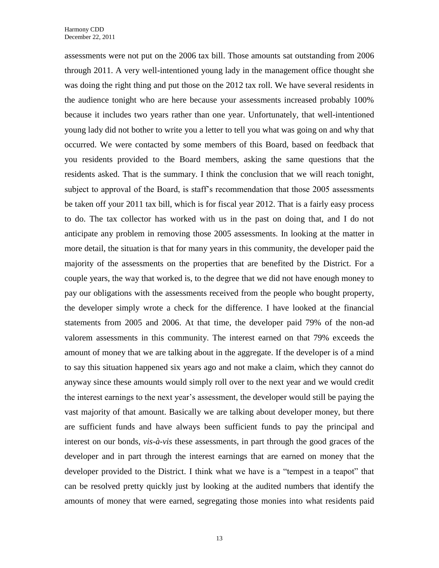assessments were not put on the 2006 tax bill. Those amounts sat outstanding from 2006 through 2011. A very well-intentioned young lady in the management office thought she was doing the right thing and put those on the 2012 tax roll. We have several residents in the audience tonight who are here because your assessments increased probably 100% because it includes two years rather than one year. Unfortunately, that well-intentioned young lady did not bother to write you a letter to tell you what was going on and why that occurred. We were contacted by some members of this Board, based on feedback that you residents provided to the Board members, asking the same questions that the residents asked. That is the summary. I think the conclusion that we will reach tonight, subject to approval of the Board, is staff's recommendation that those 2005 assessments be taken off your 2011 tax bill, which is for fiscal year 2012. That is a fairly easy process to do. The tax collector has worked with us in the past on doing that, and I do not anticipate any problem in removing those 2005 assessments. In looking at the matter in more detail, the situation is that for many years in this community, the developer paid the majority of the assessments on the properties that are benefited by the District. For a couple years, the way that worked is, to the degree that we did not have enough money to pay our obligations with the assessments received from the people who bought property, the developer simply wrote a check for the difference. I have looked at the financial statements from 2005 and 2006. At that time, the developer paid 79% of the non-ad valorem assessments in this community. The interest earned on that 79% exceeds the amount of money that we are talking about in the aggregate. If the developer is of a mind to say this situation happened six years ago and not make a claim, which they cannot do anyway since these amounts would simply roll over to the next year and we would credit the interest earnings to the next year's assessment, the developer would still be paying the vast majority of that amount. Basically we are talking about developer money, but there are sufficient funds and have always been sufficient funds to pay the principal and interest on our bonds, *vis-à-vis* these assessments, in part through the good graces of the developer and in part through the interest earnings that are earned on money that the developer provided to the District. I think what we have is a "tempest in a teapot" that can be resolved pretty quickly just by looking at the audited numbers that identify the amounts of money that were earned, segregating those monies into what residents paid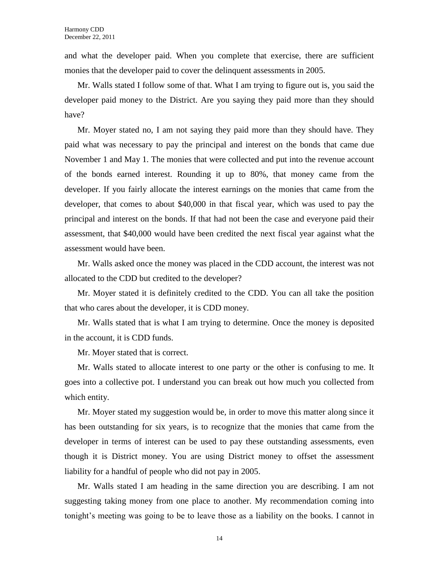and what the developer paid. When you complete that exercise, there are sufficient monies that the developer paid to cover the delinquent assessments in 2005.

Mr. Walls stated I follow some of that. What I am trying to figure out is, you said the developer paid money to the District. Are you saying they paid more than they should have?

Mr. Moyer stated no, I am not saying they paid more than they should have. They paid what was necessary to pay the principal and interest on the bonds that came due November 1 and May 1. The monies that were collected and put into the revenue account of the bonds earned interest. Rounding it up to 80%, that money came from the developer. If you fairly allocate the interest earnings on the monies that came from the developer, that comes to about \$40,000 in that fiscal year, which was used to pay the principal and interest on the bonds. If that had not been the case and everyone paid their assessment, that \$40,000 would have been credited the next fiscal year against what the assessment would have been.

Mr. Walls asked once the money was placed in the CDD account, the interest was not allocated to the CDD but credited to the developer?

Mr. Moyer stated it is definitely credited to the CDD. You can all take the position that who cares about the developer, it is CDD money.

Mr. Walls stated that is what I am trying to determine. Once the money is deposited in the account, it is CDD funds.

Mr. Moyer stated that is correct.

Mr. Walls stated to allocate interest to one party or the other is confusing to me. It goes into a collective pot. I understand you can break out how much you collected from which entity.

Mr. Moyer stated my suggestion would be, in order to move this matter along since it has been outstanding for six years, is to recognize that the monies that came from the developer in terms of interest can be used to pay these outstanding assessments, even though it is District money. You are using District money to offset the assessment liability for a handful of people who did not pay in 2005.

Mr. Walls stated I am heading in the same direction you are describing. I am not suggesting taking money from one place to another. My recommendation coming into tonight's meeting was going to be to leave those as a liability on the books. I cannot in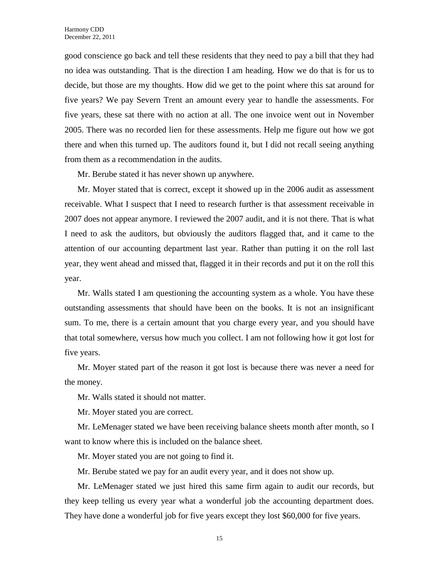good conscience go back and tell these residents that they need to pay a bill that they had no idea was outstanding. That is the direction I am heading. How we do that is for us to decide, but those are my thoughts. How did we get to the point where this sat around for five years? We pay Severn Trent an amount every year to handle the assessments. For five years, these sat there with no action at all. The one invoice went out in November 2005. There was no recorded lien for these assessments. Help me figure out how we got there and when this turned up. The auditors found it, but I did not recall seeing anything from them as a recommendation in the audits.

Mr. Berube stated it has never shown up anywhere.

Mr. Moyer stated that is correct, except it showed up in the 2006 audit as assessment receivable. What I suspect that I need to research further is that assessment receivable in 2007 does not appear anymore. I reviewed the 2007 audit, and it is not there. That is what I need to ask the auditors, but obviously the auditors flagged that, and it came to the attention of our accounting department last year. Rather than putting it on the roll last year, they went ahead and missed that, flagged it in their records and put it on the roll this year.

Mr. Walls stated I am questioning the accounting system as a whole. You have these outstanding assessments that should have been on the books. It is not an insignificant sum. To me, there is a certain amount that you charge every year, and you should have that total somewhere, versus how much you collect. I am not following how it got lost for five years.

Mr. Moyer stated part of the reason it got lost is because there was never a need for the money.

Mr. Walls stated it should not matter.

Mr. Moyer stated you are correct.

Mr. LeMenager stated we have been receiving balance sheets month after month, so I want to know where this is included on the balance sheet.

Mr. Moyer stated you are not going to find it.

Mr. Berube stated we pay for an audit every year, and it does not show up.

Mr. LeMenager stated we just hired this same firm again to audit our records, but they keep telling us every year what a wonderful job the accounting department does. They have done a wonderful job for five years except they lost \$60,000 for five years.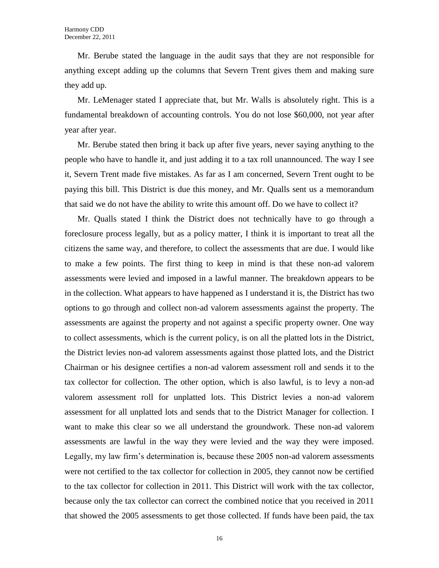Mr. Berube stated the language in the audit says that they are not responsible for anything except adding up the columns that Severn Trent gives them and making sure they add up.

Mr. LeMenager stated I appreciate that, but Mr. Walls is absolutely right. This is a fundamental breakdown of accounting controls. You do not lose \$60,000, not year after year after year.

Mr. Berube stated then bring it back up after five years, never saying anything to the people who have to handle it, and just adding it to a tax roll unannounced. The way I see it, Severn Trent made five mistakes. As far as I am concerned, Severn Trent ought to be paying this bill. This District is due this money, and Mr. Qualls sent us a memorandum that said we do not have the ability to write this amount off. Do we have to collect it?

Mr. Qualls stated I think the District does not technically have to go through a foreclosure process legally, but as a policy matter, I think it is important to treat all the citizens the same way, and therefore, to collect the assessments that are due. I would like to make a few points. The first thing to keep in mind is that these non-ad valorem assessments were levied and imposed in a lawful manner. The breakdown appears to be in the collection. What appears to have happened as I understand it is, the District has two options to go through and collect non-ad valorem assessments against the property. The assessments are against the property and not against a specific property owner. One way to collect assessments, which is the current policy, is on all the platted lots in the District, the District levies non-ad valorem assessments against those platted lots, and the District Chairman or his designee certifies a non-ad valorem assessment roll and sends it to the tax collector for collection. The other option, which is also lawful, is to levy a non-ad valorem assessment roll for unplatted lots. This District levies a non-ad valorem assessment for all unplatted lots and sends that to the District Manager for collection. I want to make this clear so we all understand the groundwork. These non-ad valorem assessments are lawful in the way they were levied and the way they were imposed. Legally, my law firm's determination is, because these 2005 non-ad valorem assessments were not certified to the tax collector for collection in 2005, they cannot now be certified to the tax collector for collection in 2011. This District will work with the tax collector, because only the tax collector can correct the combined notice that you received in 2011 that showed the 2005 assessments to get those collected. If funds have been paid, the tax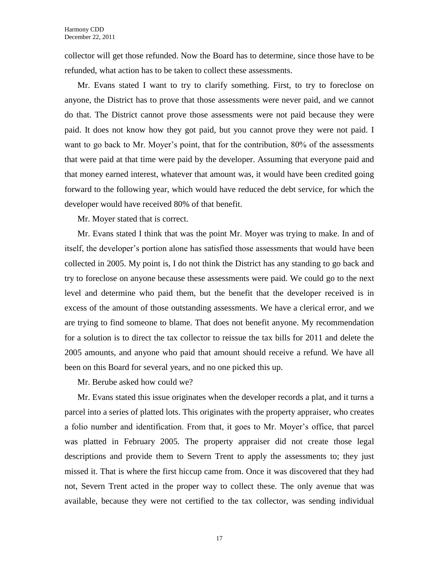collector will get those refunded. Now the Board has to determine, since those have to be refunded, what action has to be taken to collect these assessments.

Mr. Evans stated I want to try to clarify something. First, to try to foreclose on anyone, the District has to prove that those assessments were never paid, and we cannot do that. The District cannot prove those assessments were not paid because they were paid. It does not know how they got paid, but you cannot prove they were not paid. I want to go back to Mr. Moyer's point, that for the contribution, 80% of the assessments that were paid at that time were paid by the developer. Assuming that everyone paid and that money earned interest, whatever that amount was, it would have been credited going forward to the following year, which would have reduced the debt service, for which the developer would have received 80% of that benefit.

Mr. Moyer stated that is correct.

Mr. Evans stated I think that was the point Mr. Moyer was trying to make. In and of itself, the developer's portion alone has satisfied those assessments that would have been collected in 2005. My point is, I do not think the District has any standing to go back and try to foreclose on anyone because these assessments were paid. We could go to the next level and determine who paid them, but the benefit that the developer received is in excess of the amount of those outstanding assessments. We have a clerical error, and we are trying to find someone to blame. That does not benefit anyone. My recommendation for a solution is to direct the tax collector to reissue the tax bills for 2011 and delete the 2005 amounts, and anyone who paid that amount should receive a refund. We have all been on this Board for several years, and no one picked this up.

Mr. Berube asked how could we?

Mr. Evans stated this issue originates when the developer records a plat, and it turns a parcel into a series of platted lots. This originates with the property appraiser, who creates a folio number and identification. From that, it goes to Mr. Moyer's office, that parcel was platted in February 2005. The property appraiser did not create those legal descriptions and provide them to Severn Trent to apply the assessments to; they just missed it. That is where the first hiccup came from. Once it was discovered that they had not, Severn Trent acted in the proper way to collect these. The only avenue that was available, because they were not certified to the tax collector, was sending individual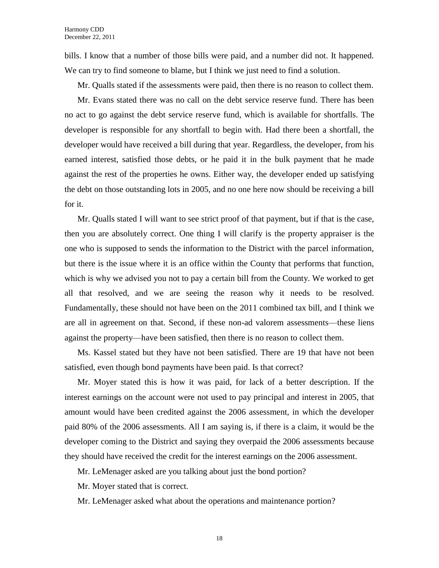bills. I know that a number of those bills were paid, and a number did not. It happened. We can try to find someone to blame, but I think we just need to find a solution.

Mr. Qualls stated if the assessments were paid, then there is no reason to collect them.

Mr. Evans stated there was no call on the debt service reserve fund. There has been no act to go against the debt service reserve fund, which is available for shortfalls. The developer is responsible for any shortfall to begin with. Had there been a shortfall, the developer would have received a bill during that year. Regardless, the developer, from his earned interest, satisfied those debts, or he paid it in the bulk payment that he made against the rest of the properties he owns. Either way, the developer ended up satisfying the debt on those outstanding lots in 2005, and no one here now should be receiving a bill for it.

Mr. Qualls stated I will want to see strict proof of that payment, but if that is the case, then you are absolutely correct. One thing I will clarify is the property appraiser is the one who is supposed to sends the information to the District with the parcel information, but there is the issue where it is an office within the County that performs that function, which is why we advised you not to pay a certain bill from the County. We worked to get all that resolved, and we are seeing the reason why it needs to be resolved. Fundamentally, these should not have been on the 2011 combined tax bill, and I think we are all in agreement on that. Second, if these non-ad valorem assessments—these liens against the property—have been satisfied, then there is no reason to collect them.

Ms. Kassel stated but they have not been satisfied. There are 19 that have not been satisfied, even though bond payments have been paid. Is that correct?

Mr. Moyer stated this is how it was paid, for lack of a better description. If the interest earnings on the account were not used to pay principal and interest in 2005, that amount would have been credited against the 2006 assessment, in which the developer paid 80% of the 2006 assessments. All I am saying is, if there is a claim, it would be the developer coming to the District and saying they overpaid the 2006 assessments because they should have received the credit for the interest earnings on the 2006 assessment.

Mr. LeMenager asked are you talking about just the bond portion?

Mr. Moyer stated that is correct.

Mr. LeMenager asked what about the operations and maintenance portion?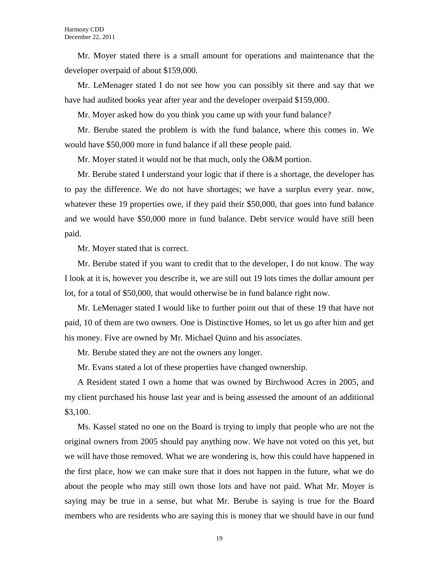Mr. Moyer stated there is a small amount for operations and maintenance that the developer overpaid of about \$159,000.

Mr. LeMenager stated I do not see how you can possibly sit there and say that we have had audited books year after year and the developer overpaid \$159,000.

Mr. Moyer asked how do you think you came up with your fund balance?

Mr. Berube stated the problem is with the fund balance, where this comes in. We would have \$50,000 more in fund balance if all these people paid.

Mr. Moyer stated it would not be that much, only the O&M portion.

Mr. Berube stated I understand your logic that if there is a shortage, the developer has to pay the difference. We do not have shortages; we have a surplus every year. now, whatever these 19 properties owe, if they paid their \$50,000, that goes into fund balance and we would have \$50,000 more in fund balance. Debt service would have still been paid.

Mr. Moyer stated that is correct.

Mr. Berube stated if you want to credit that to the developer, I do not know. The way I look at it is, however you describe it, we are still out 19 lots times the dollar amount per lot, for a total of \$50,000, that would otherwise be in fund balance right now.

Mr. LeMenager stated I would like to further point out that of these 19 that have not paid, 10 of them are two owners. One is Distinctive Homes, so let us go after him and get his money. Five are owned by Mr. Michael Quinn and his associates.

Mr. Berube stated they are not the owners any longer.

Mr. Evans stated a lot of these properties have changed ownership.

A Resident stated I own a home that was owned by Birchwood Acres in 2005, and my client purchased his house last year and is being assessed the amount of an additional \$3,100.

Ms. Kassel stated no one on the Board is trying to imply that people who are not the original owners from 2005 should pay anything now. We have not voted on this yet, but we will have those removed. What we are wondering is, how this could have happened in the first place, how we can make sure that it does not happen in the future, what we do about the people who may still own those lots and have not paid. What Mr. Moyer is saying may be true in a sense, but what Mr. Berube is saying is true for the Board members who are residents who are saying this is money that we should have in our fund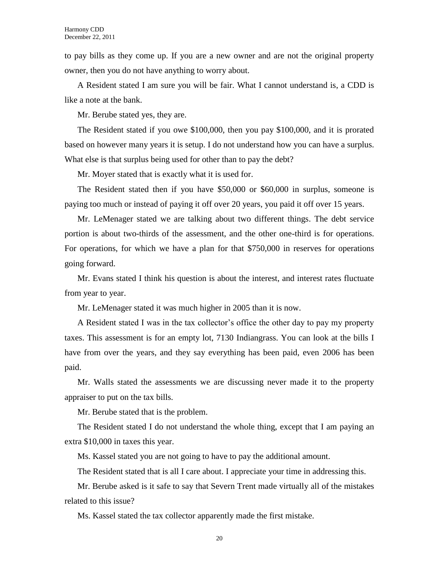to pay bills as they come up. If you are a new owner and are not the original property owner, then you do not have anything to worry about.

A Resident stated I am sure you will be fair. What I cannot understand is, a CDD is like a note at the bank.

Mr. Berube stated yes, they are.

The Resident stated if you owe \$100,000, then you pay \$100,000, and it is prorated based on however many years it is setup. I do not understand how you can have a surplus. What else is that surplus being used for other than to pay the debt?

Mr. Moyer stated that is exactly what it is used for.

The Resident stated then if you have \$50,000 or \$60,000 in surplus, someone is paying too much or instead of paying it off over 20 years, you paid it off over 15 years.

Mr. LeMenager stated we are talking about two different things. The debt service portion is about two-thirds of the assessment, and the other one-third is for operations. For operations, for which we have a plan for that \$750,000 in reserves for operations going forward.

Mr. Evans stated I think his question is about the interest, and interest rates fluctuate from year to year.

Mr. LeMenager stated it was much higher in 2005 than it is now.

A Resident stated I was in the tax collector's office the other day to pay my property taxes. This assessment is for an empty lot, 7130 Indiangrass. You can look at the bills I have from over the years, and they say everything has been paid, even 2006 has been paid.

Mr. Walls stated the assessments we are discussing never made it to the property appraiser to put on the tax bills.

Mr. Berube stated that is the problem.

The Resident stated I do not understand the whole thing, except that I am paying an extra \$10,000 in taxes this year.

Ms. Kassel stated you are not going to have to pay the additional amount.

The Resident stated that is all I care about. I appreciate your time in addressing this.

Mr. Berube asked is it safe to say that Severn Trent made virtually all of the mistakes related to this issue?

Ms. Kassel stated the tax collector apparently made the first mistake.

20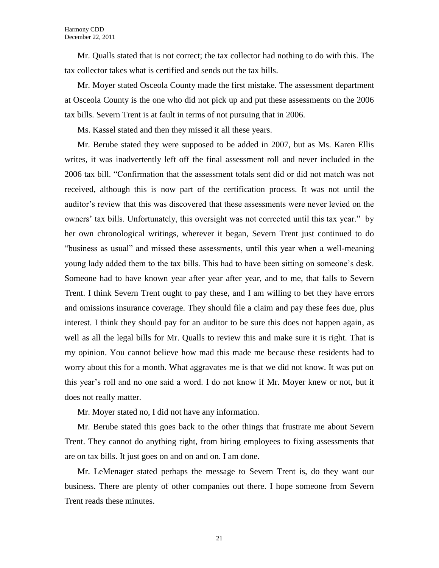Mr. Qualls stated that is not correct; the tax collector had nothing to do with this. The tax collector takes what is certified and sends out the tax bills.

Mr. Moyer stated Osceola County made the first mistake. The assessment department at Osceola County is the one who did not pick up and put these assessments on the 2006 tax bills. Severn Trent is at fault in terms of not pursuing that in 2006.

Ms. Kassel stated and then they missed it all these years.

Mr. Berube stated they were supposed to be added in 2007, but as Ms. Karen Ellis writes, it was inadvertently left off the final assessment roll and never included in the 2006 tax bill. "Confirmation that the assessment totals sent did or did not match was not received, although this is now part of the certification process. It was not until the auditor's review that this was discovered that these assessments were never levied on the owners' tax bills. Unfortunately, this oversight was not corrected until this tax year." by her own chronological writings, wherever it began, Severn Trent just continued to do "business as usual" and missed these assessments, until this year when a well-meaning young lady added them to the tax bills. This had to have been sitting on someone's desk. Someone had to have known year after year after year, and to me, that falls to Severn Trent. I think Severn Trent ought to pay these, and I am willing to bet they have errors and omissions insurance coverage. They should file a claim and pay these fees due, plus interest. I think they should pay for an auditor to be sure this does not happen again, as well as all the legal bills for Mr. Qualls to review this and make sure it is right. That is my opinion. You cannot believe how mad this made me because these residents had to worry about this for a month. What aggravates me is that we did not know. It was put on this year's roll and no one said a word. I do not know if Mr. Moyer knew or not, but it does not really matter.

Mr. Moyer stated no, I did not have any information.

Mr. Berube stated this goes back to the other things that frustrate me about Severn Trent. They cannot do anything right, from hiring employees to fixing assessments that are on tax bills. It just goes on and on and on. I am done.

Mr. LeMenager stated perhaps the message to Severn Trent is, do they want our business. There are plenty of other companies out there. I hope someone from Severn Trent reads these minutes.

21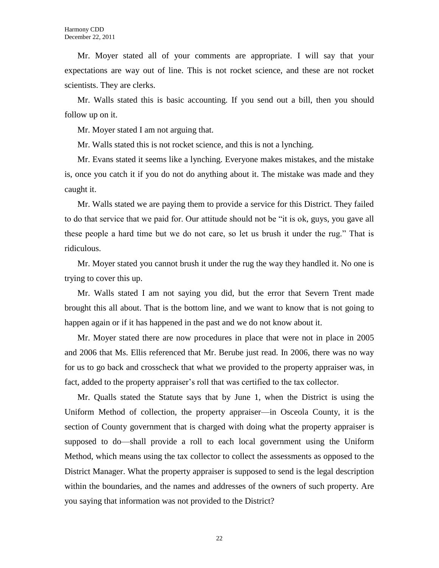Mr. Moyer stated all of your comments are appropriate. I will say that your expectations are way out of line. This is not rocket science, and these are not rocket scientists. They are clerks.

Mr. Walls stated this is basic accounting. If you send out a bill, then you should follow up on it.

Mr. Moyer stated I am not arguing that.

Mr. Walls stated this is not rocket science, and this is not a lynching.

Mr. Evans stated it seems like a lynching. Everyone makes mistakes, and the mistake is, once you catch it if you do not do anything about it. The mistake was made and they caught it.

Mr. Walls stated we are paying them to provide a service for this District. They failed to do that service that we paid for. Our attitude should not be "it is ok, guys, you gave all these people a hard time but we do not care, so let us brush it under the rug." That is ridiculous.

Mr. Moyer stated you cannot brush it under the rug the way they handled it. No one is trying to cover this up.

Mr. Walls stated I am not saying you did, but the error that Severn Trent made brought this all about. That is the bottom line, and we want to know that is not going to happen again or if it has happened in the past and we do not know about it.

Mr. Moyer stated there are now procedures in place that were not in place in 2005 and 2006 that Ms. Ellis referenced that Mr. Berube just read. In 2006, there was no way for us to go back and crosscheck that what we provided to the property appraiser was, in fact, added to the property appraiser's roll that was certified to the tax collector.

Mr. Qualls stated the Statute says that by June 1, when the District is using the Uniform Method of collection, the property appraiser—in Osceola County, it is the section of County government that is charged with doing what the property appraiser is supposed to do—shall provide a roll to each local government using the Uniform Method, which means using the tax collector to collect the assessments as opposed to the District Manager. What the property appraiser is supposed to send is the legal description within the boundaries, and the names and addresses of the owners of such property. Are you saying that information was not provided to the District?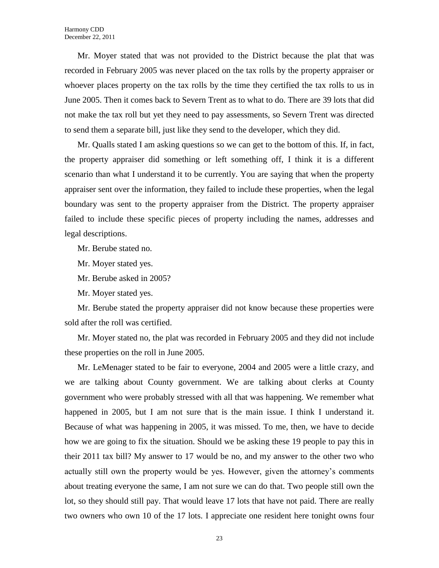Mr. Moyer stated that was not provided to the District because the plat that was recorded in February 2005 was never placed on the tax rolls by the property appraiser or whoever places property on the tax rolls by the time they certified the tax rolls to us in June 2005. Then it comes back to Severn Trent as to what to do. There are 39 lots that did not make the tax roll but yet they need to pay assessments, so Severn Trent was directed to send them a separate bill, just like they send to the developer, which they did.

Mr. Qualls stated I am asking questions so we can get to the bottom of this. If, in fact, the property appraiser did something or left something off, I think it is a different scenario than what I understand it to be currently. You are saying that when the property appraiser sent over the information, they failed to include these properties, when the legal boundary was sent to the property appraiser from the District. The property appraiser failed to include these specific pieces of property including the names, addresses and legal descriptions.

Mr. Berube stated no.

Mr. Moyer stated yes.

Mr. Berube asked in 2005?

Mr. Moyer stated yes.

Mr. Berube stated the property appraiser did not know because these properties were sold after the roll was certified.

Mr. Moyer stated no, the plat was recorded in February 2005 and they did not include these properties on the roll in June 2005.

Mr. LeMenager stated to be fair to everyone, 2004 and 2005 were a little crazy, and we are talking about County government. We are talking about clerks at County government who were probably stressed with all that was happening. We remember what happened in 2005, but I am not sure that is the main issue. I think I understand it. Because of what was happening in 2005, it was missed. To me, then, we have to decide how we are going to fix the situation. Should we be asking these 19 people to pay this in their 2011 tax bill? My answer to 17 would be no, and my answer to the other two who actually still own the property would be yes. However, given the attorney's comments about treating everyone the same, I am not sure we can do that. Two people still own the lot, so they should still pay. That would leave 17 lots that have not paid. There are really two owners who own 10 of the 17 lots. I appreciate one resident here tonight owns four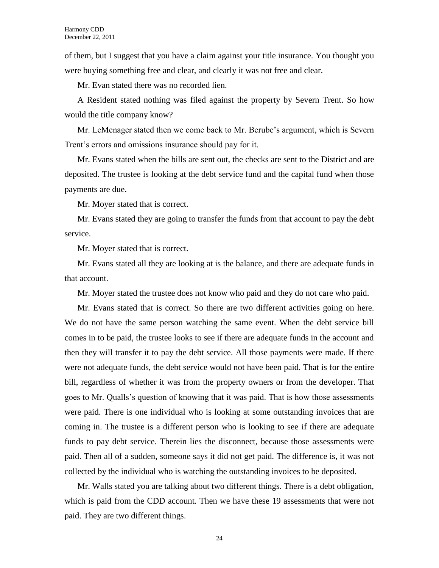of them, but I suggest that you have a claim against your title insurance. You thought you were buying something free and clear, and clearly it was not free and clear.

Mr. Evan stated there was no recorded lien.

A Resident stated nothing was filed against the property by Severn Trent. So how would the title company know?

Mr. LeMenager stated then we come back to Mr. Berube's argument, which is Severn Trent's errors and omissions insurance should pay for it.

Mr. Evans stated when the bills are sent out, the checks are sent to the District and are deposited. The trustee is looking at the debt service fund and the capital fund when those payments are due.

Mr. Moyer stated that is correct.

Mr. Evans stated they are going to transfer the funds from that account to pay the debt service.

Mr. Moyer stated that is correct.

Mr. Evans stated all they are looking at is the balance, and there are adequate funds in that account.

Mr. Moyer stated the trustee does not know who paid and they do not care who paid.

Mr. Evans stated that is correct. So there are two different activities going on here. We do not have the same person watching the same event. When the debt service bill comes in to be paid, the trustee looks to see if there are adequate funds in the account and then they will transfer it to pay the debt service. All those payments were made. If there were not adequate funds, the debt service would not have been paid. That is for the entire bill, regardless of whether it was from the property owners or from the developer. That goes to Mr. Qualls's question of knowing that it was paid. That is how those assessments were paid. There is one individual who is looking at some outstanding invoices that are coming in. The trustee is a different person who is looking to see if there are adequate funds to pay debt service. Therein lies the disconnect, because those assessments were paid. Then all of a sudden, someone says it did not get paid. The difference is, it was not collected by the individual who is watching the outstanding invoices to be deposited.

Mr. Walls stated you are talking about two different things. There is a debt obligation, which is paid from the CDD account. Then we have these 19 assessments that were not paid. They are two different things.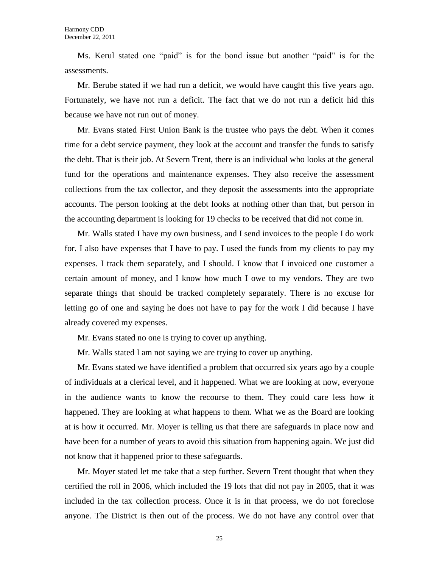Ms. Kerul stated one "paid" is for the bond issue but another "paid" is for the assessments.

Mr. Berube stated if we had run a deficit, we would have caught this five years ago. Fortunately, we have not run a deficit. The fact that we do not run a deficit hid this because we have not run out of money.

Mr. Evans stated First Union Bank is the trustee who pays the debt. When it comes time for a debt service payment, they look at the account and transfer the funds to satisfy the debt. That is their job. At Severn Trent, there is an individual who looks at the general fund for the operations and maintenance expenses. They also receive the assessment collections from the tax collector, and they deposit the assessments into the appropriate accounts. The person looking at the debt looks at nothing other than that, but person in the accounting department is looking for 19 checks to be received that did not come in.

Mr. Walls stated I have my own business, and I send invoices to the people I do work for. I also have expenses that I have to pay. I used the funds from my clients to pay my expenses. I track them separately, and I should. I know that I invoiced one customer a certain amount of money, and I know how much I owe to my vendors. They are two separate things that should be tracked completely separately. There is no excuse for letting go of one and saying he does not have to pay for the work I did because I have already covered my expenses.

Mr. Evans stated no one is trying to cover up anything.

Mr. Walls stated I am not saying we are trying to cover up anything.

Mr. Evans stated we have identified a problem that occurred six years ago by a couple of individuals at a clerical level, and it happened. What we are looking at now, everyone in the audience wants to know the recourse to them. They could care less how it happened. They are looking at what happens to them. What we as the Board are looking at is how it occurred. Mr. Moyer is telling us that there are safeguards in place now and have been for a number of years to avoid this situation from happening again. We just did not know that it happened prior to these safeguards.

Mr. Moyer stated let me take that a step further. Severn Trent thought that when they certified the roll in 2006, which included the 19 lots that did not pay in 2005, that it was included in the tax collection process. Once it is in that process, we do not foreclose anyone. The District is then out of the process. We do not have any control over that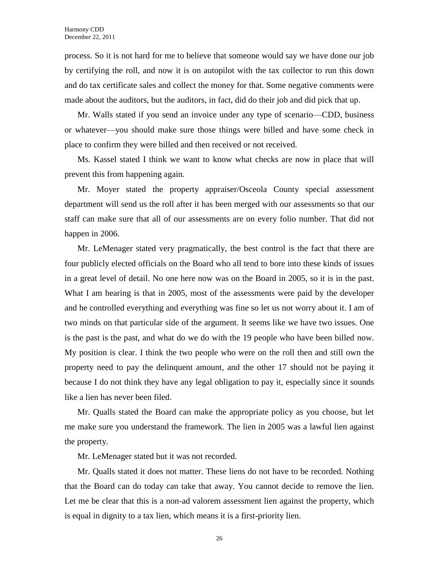process. So it is not hard for me to believe that someone would say we have done our job by certifying the roll, and now it is on autopilot with the tax collector to run this down and do tax certificate sales and collect the money for that. Some negative comments were made about the auditors, but the auditors, in fact, did do their job and did pick that up.

Mr. Walls stated if you send an invoice under any type of scenario—CDD, business or whatever—you should make sure those things were billed and have some check in place to confirm they were billed and then received or not received.

Ms. Kassel stated I think we want to know what checks are now in place that will prevent this from happening again.

Mr. Moyer stated the property appraiser/Osceola County special assessment department will send us the roll after it has been merged with our assessments so that our staff can make sure that all of our assessments are on every folio number. That did not happen in 2006.

Mr. LeMenager stated very pragmatically, the best control is the fact that there are four publicly elected officials on the Board who all tend to bore into these kinds of issues in a great level of detail. No one here now was on the Board in 2005, so it is in the past. What I am hearing is that in 2005, most of the assessments were paid by the developer and he controlled everything and everything was fine so let us not worry about it. I am of two minds on that particular side of the argument. It seems like we have two issues. One is the past is the past, and what do we do with the 19 people who have been billed now. My position is clear. I think the two people who were on the roll then and still own the property need to pay the delinquent amount, and the other 17 should not be paying it because I do not think they have any legal obligation to pay it, especially since it sounds like a lien has never been filed.

Mr. Qualls stated the Board can make the appropriate policy as you choose, but let me make sure you understand the framework. The lien in 2005 was a lawful lien against the property.

Mr. LeMenager stated but it was not recorded.

Mr. Qualls stated it does not matter. These liens do not have to be recorded. Nothing that the Board can do today can take that away. You cannot decide to remove the lien. Let me be clear that this is a non-ad valorem assessment lien against the property, which is equal in dignity to a tax lien, which means it is a first-priority lien.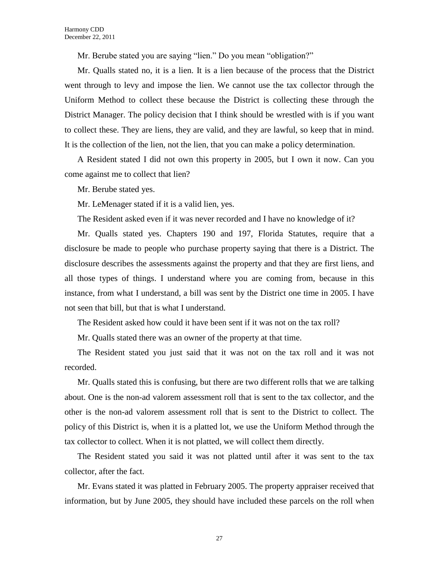Mr. Berube stated you are saying "lien." Do you mean "obligation?"

Mr. Qualls stated no, it is a lien. It is a lien because of the process that the District went through to levy and impose the lien. We cannot use the tax collector through the Uniform Method to collect these because the District is collecting these through the District Manager. The policy decision that I think should be wrestled with is if you want to collect these. They are liens, they are valid, and they are lawful, so keep that in mind. It is the collection of the lien, not the lien, that you can make a policy determination.

A Resident stated I did not own this property in 2005, but I own it now. Can you come against me to collect that lien?

Mr. Berube stated yes.

Mr. LeMenager stated if it is a valid lien, yes.

The Resident asked even if it was never recorded and I have no knowledge of it?

Mr. Qualls stated yes. Chapters 190 and 197, Florida Statutes, require that a disclosure be made to people who purchase property saying that there is a District. The disclosure describes the assessments against the property and that they are first liens, and all those types of things. I understand where you are coming from, because in this instance, from what I understand, a bill was sent by the District one time in 2005. I have not seen that bill, but that is what I understand.

The Resident asked how could it have been sent if it was not on the tax roll?

Mr. Qualls stated there was an owner of the property at that time.

The Resident stated you just said that it was not on the tax roll and it was not recorded.

Mr. Qualls stated this is confusing, but there are two different rolls that we are talking about. One is the non-ad valorem assessment roll that is sent to the tax collector, and the other is the non-ad valorem assessment roll that is sent to the District to collect. The policy of this District is, when it is a platted lot, we use the Uniform Method through the tax collector to collect. When it is not platted, we will collect them directly.

The Resident stated you said it was not platted until after it was sent to the tax collector, after the fact.

Mr. Evans stated it was platted in February 2005. The property appraiser received that information, but by June 2005, they should have included these parcels on the roll when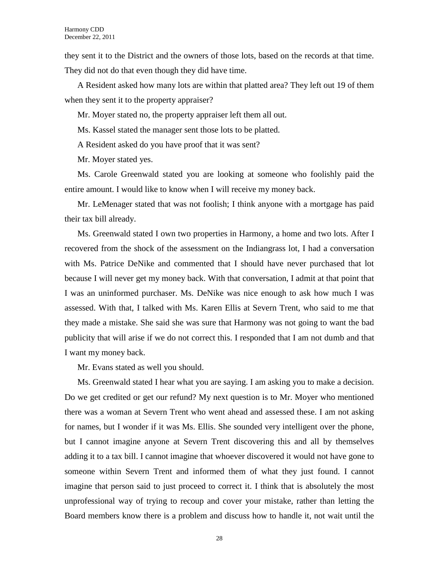they sent it to the District and the owners of those lots, based on the records at that time. They did not do that even though they did have time.

A Resident asked how many lots are within that platted area? They left out 19 of them when they sent it to the property appraiser?

Mr. Moyer stated no, the property appraiser left them all out.

Ms. Kassel stated the manager sent those lots to be platted.

A Resident asked do you have proof that it was sent?

Mr. Moyer stated yes.

Ms. Carole Greenwald stated you are looking at someone who foolishly paid the entire amount. I would like to know when I will receive my money back.

Mr. LeMenager stated that was not foolish; I think anyone with a mortgage has paid their tax bill already.

Ms. Greenwald stated I own two properties in Harmony, a home and two lots. After I recovered from the shock of the assessment on the Indiangrass lot, I had a conversation with Ms. Patrice DeNike and commented that I should have never purchased that lot because I will never get my money back. With that conversation, I admit at that point that I was an uninformed purchaser. Ms. DeNike was nice enough to ask how much I was assessed. With that, I talked with Ms. Karen Ellis at Severn Trent, who said to me that they made a mistake. She said she was sure that Harmony was not going to want the bad publicity that will arise if we do not correct this. I responded that I am not dumb and that I want my money back.

Mr. Evans stated as well you should.

Ms. Greenwald stated I hear what you are saying. I am asking you to make a decision. Do we get credited or get our refund? My next question is to Mr. Moyer who mentioned there was a woman at Severn Trent who went ahead and assessed these. I am not asking for names, but I wonder if it was Ms. Ellis. She sounded very intelligent over the phone, but I cannot imagine anyone at Severn Trent discovering this and all by themselves adding it to a tax bill. I cannot imagine that whoever discovered it would not have gone to someone within Severn Trent and informed them of what they just found. I cannot imagine that person said to just proceed to correct it. I think that is absolutely the most unprofessional way of trying to recoup and cover your mistake, rather than letting the Board members know there is a problem and discuss how to handle it, not wait until the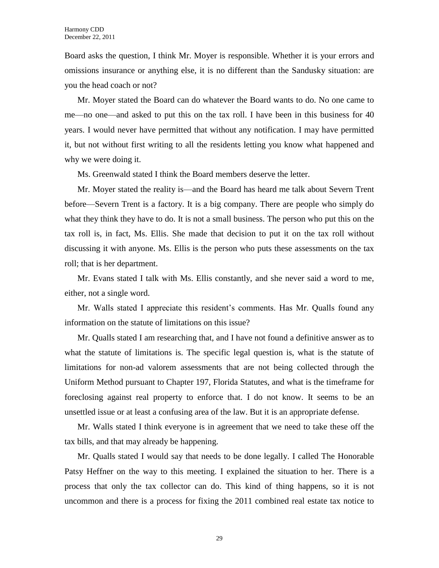Board asks the question, I think Mr. Moyer is responsible. Whether it is your errors and omissions insurance or anything else, it is no different than the Sandusky situation: are you the head coach or not?

Mr. Moyer stated the Board can do whatever the Board wants to do. No one came to me—no one—and asked to put this on the tax roll. I have been in this business for 40 years. I would never have permitted that without any notification. I may have permitted it, but not without first writing to all the residents letting you know what happened and why we were doing it.

Ms. Greenwald stated I think the Board members deserve the letter.

Mr. Moyer stated the reality is—and the Board has heard me talk about Severn Trent before—Severn Trent is a factory. It is a big company. There are people who simply do what they think they have to do. It is not a small business. The person who put this on the tax roll is, in fact, Ms. Ellis. She made that decision to put it on the tax roll without discussing it with anyone. Ms. Ellis is the person who puts these assessments on the tax roll; that is her department.

Mr. Evans stated I talk with Ms. Ellis constantly, and she never said a word to me, either, not a single word.

Mr. Walls stated I appreciate this resident's comments. Has Mr. Qualls found any information on the statute of limitations on this issue?

Mr. Qualls stated I am researching that, and I have not found a definitive answer as to what the statute of limitations is. The specific legal question is, what is the statute of limitations for non-ad valorem assessments that are not being collected through the Uniform Method pursuant to Chapter 197, Florida Statutes, and what is the timeframe for foreclosing against real property to enforce that. I do not know. It seems to be an unsettled issue or at least a confusing area of the law. But it is an appropriate defense.

Mr. Walls stated I think everyone is in agreement that we need to take these off the tax bills, and that may already be happening.

Mr. Qualls stated I would say that needs to be done legally. I called The Honorable Patsy Heffner on the way to this meeting. I explained the situation to her. There is a process that only the tax collector can do. This kind of thing happens, so it is not uncommon and there is a process for fixing the 2011 combined real estate tax notice to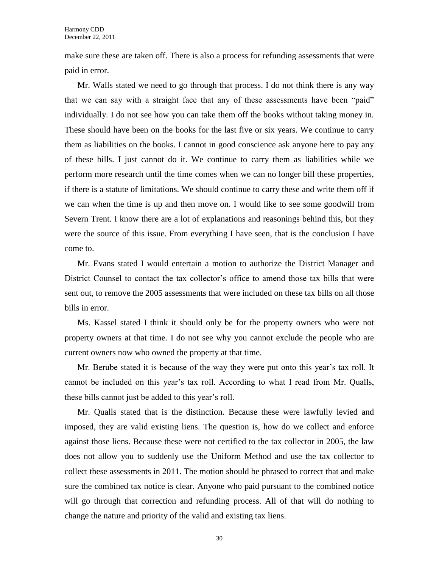make sure these are taken off. There is also a process for refunding assessments that were paid in error.

Mr. Walls stated we need to go through that process. I do not think there is any way that we can say with a straight face that any of these assessments have been "paid" individually. I do not see how you can take them off the books without taking money in. These should have been on the books for the last five or six years. We continue to carry them as liabilities on the books. I cannot in good conscience ask anyone here to pay any of these bills. I just cannot do it. We continue to carry them as liabilities while we perform more research until the time comes when we can no longer bill these properties, if there is a statute of limitations. We should continue to carry these and write them off if we can when the time is up and then move on. I would like to see some goodwill from Severn Trent. I know there are a lot of explanations and reasonings behind this, but they were the source of this issue. From everything I have seen, that is the conclusion I have come to.

Mr. Evans stated I would entertain a motion to authorize the District Manager and District Counsel to contact the tax collector's office to amend those tax bills that were sent out, to remove the 2005 assessments that were included on these tax bills on all those bills in error.

Ms. Kassel stated I think it should only be for the property owners who were not property owners at that time. I do not see why you cannot exclude the people who are current owners now who owned the property at that time.

Mr. Berube stated it is because of the way they were put onto this year's tax roll. It cannot be included on this year's tax roll. According to what I read from Mr. Qualls, these bills cannot just be added to this year's roll.

Mr. Qualls stated that is the distinction. Because these were lawfully levied and imposed, they are valid existing liens. The question is, how do we collect and enforce against those liens. Because these were not certified to the tax collector in 2005, the law does not allow you to suddenly use the Uniform Method and use the tax collector to collect these assessments in 2011. The motion should be phrased to correct that and make sure the combined tax notice is clear. Anyone who paid pursuant to the combined notice will go through that correction and refunding process. All of that will do nothing to change the nature and priority of the valid and existing tax liens.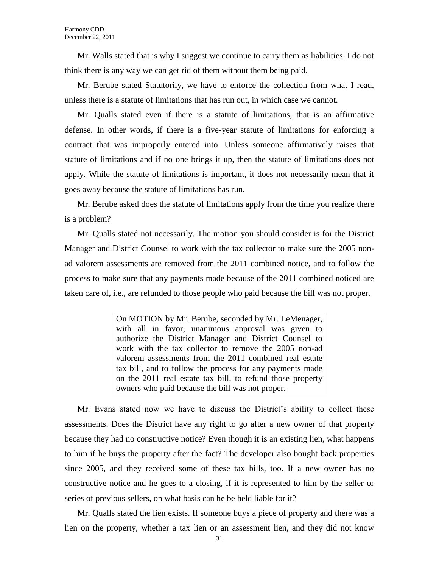Mr. Walls stated that is why I suggest we continue to carry them as liabilities. I do not think there is any way we can get rid of them without them being paid.

Mr. Berube stated Statutorily, we have to enforce the collection from what I read, unless there is a statute of limitations that has run out, in which case we cannot.

Mr. Qualls stated even if there is a statute of limitations, that is an affirmative defense. In other words, if there is a five-year statute of limitations for enforcing a contract that was improperly entered into. Unless someone affirmatively raises that statute of limitations and if no one brings it up, then the statute of limitations does not apply. While the statute of limitations is important, it does not necessarily mean that it goes away because the statute of limitations has run.

Mr. Berube asked does the statute of limitations apply from the time you realize there is a problem?

Mr. Qualls stated not necessarily. The motion you should consider is for the District Manager and District Counsel to work with the tax collector to make sure the 2005 nonad valorem assessments are removed from the 2011 combined notice, and to follow the process to make sure that any payments made because of the 2011 combined noticed are taken care of, i.e., are refunded to those people who paid because the bill was not proper.

> On MOTION by Mr. Berube, seconded by Mr. LeMenager, with all in favor, unanimous approval was given to authorize the District Manager and District Counsel to work with the tax collector to remove the 2005 non-ad valorem assessments from the 2011 combined real estate tax bill, and to follow the process for any payments made on the 2011 real estate tax bill, to refund those property owners who paid because the bill was not proper.

Mr. Evans stated now we have to discuss the District's ability to collect these assessments. Does the District have any right to go after a new owner of that property because they had no constructive notice? Even though it is an existing lien, what happens to him if he buys the property after the fact? The developer also bought back properties since 2005, and they received some of these tax bills, too. If a new owner has no constructive notice and he goes to a closing, if it is represented to him by the seller or series of previous sellers, on what basis can he be held liable for it?

Mr. Qualls stated the lien exists. If someone buys a piece of property and there was a lien on the property, whether a tax lien or an assessment lien, and they did not know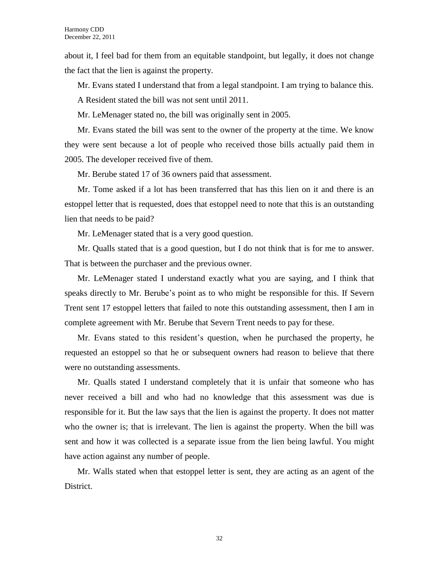about it, I feel bad for them from an equitable standpoint, but legally, it does not change the fact that the lien is against the property.

Mr. Evans stated I understand that from a legal standpoint. I am trying to balance this.

A Resident stated the bill was not sent until 2011.

Mr. LeMenager stated no, the bill was originally sent in 2005.

Mr. Evans stated the bill was sent to the owner of the property at the time. We know they were sent because a lot of people who received those bills actually paid them in 2005. The developer received five of them.

Mr. Berube stated 17 of 36 owners paid that assessment.

Mr. Tome asked if a lot has been transferred that has this lien on it and there is an estoppel letter that is requested, does that estoppel need to note that this is an outstanding lien that needs to be paid?

Mr. LeMenager stated that is a very good question.

Mr. Qualls stated that is a good question, but I do not think that is for me to answer. That is between the purchaser and the previous owner.

Mr. LeMenager stated I understand exactly what you are saying, and I think that speaks directly to Mr. Berube's point as to who might be responsible for this. If Severn Trent sent 17 estoppel letters that failed to note this outstanding assessment, then I am in complete agreement with Mr. Berube that Severn Trent needs to pay for these.

Mr. Evans stated to this resident's question, when he purchased the property, he requested an estoppel so that he or subsequent owners had reason to believe that there were no outstanding assessments.

Mr. Qualls stated I understand completely that it is unfair that someone who has never received a bill and who had no knowledge that this assessment was due is responsible for it. But the law says that the lien is against the property. It does not matter who the owner is; that is irrelevant. The lien is against the property. When the bill was sent and how it was collected is a separate issue from the lien being lawful. You might have action against any number of people.

Mr. Walls stated when that estoppel letter is sent, they are acting as an agent of the District.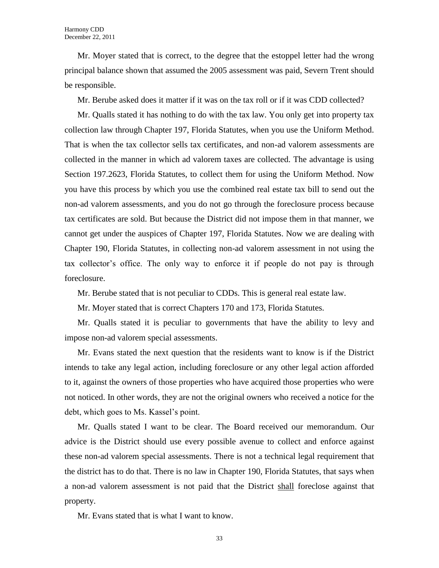Mr. Moyer stated that is correct, to the degree that the estoppel letter had the wrong principal balance shown that assumed the 2005 assessment was paid, Severn Trent should be responsible.

Mr. Berube asked does it matter if it was on the tax roll or if it was CDD collected?

Mr. Qualls stated it has nothing to do with the tax law. You only get into property tax collection law through Chapter 197, Florida Statutes, when you use the Uniform Method. That is when the tax collector sells tax certificates, and non-ad valorem assessments are collected in the manner in which ad valorem taxes are collected. The advantage is using Section 197.2623, Florida Statutes, to collect them for using the Uniform Method. Now you have this process by which you use the combined real estate tax bill to send out the non-ad valorem assessments, and you do not go through the foreclosure process because tax certificates are sold. But because the District did not impose them in that manner, we cannot get under the auspices of Chapter 197, Florida Statutes. Now we are dealing with Chapter 190, Florida Statutes, in collecting non-ad valorem assessment in not using the tax collector's office. The only way to enforce it if people do not pay is through foreclosure.

Mr. Berube stated that is not peculiar to CDDs. This is general real estate law.

Mr. Moyer stated that is correct Chapters 170 and 173, Florida Statutes.

Mr. Qualls stated it is peculiar to governments that have the ability to levy and impose non-ad valorem special assessments.

Mr. Evans stated the next question that the residents want to know is if the District intends to take any legal action, including foreclosure or any other legal action afforded to it, against the owners of those properties who have acquired those properties who were not noticed. In other words, they are not the original owners who received a notice for the debt, which goes to Ms. Kassel's point.

Mr. Qualls stated I want to be clear. The Board received our memorandum. Our advice is the District should use every possible avenue to collect and enforce against these non-ad valorem special assessments. There is not a technical legal requirement that the district has to do that. There is no law in Chapter 190, Florida Statutes, that says when a non-ad valorem assessment is not paid that the District shall foreclose against that property.

Mr. Evans stated that is what I want to know.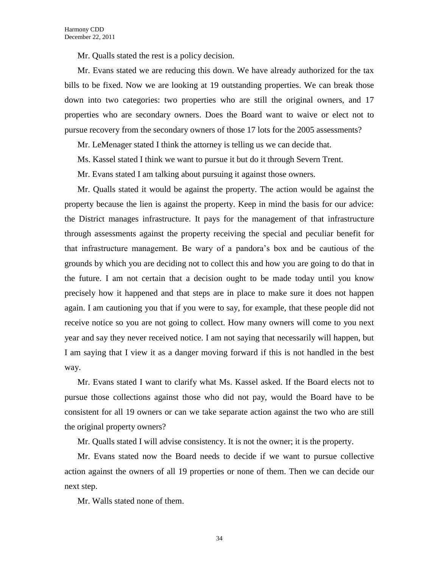Mr. Qualls stated the rest is a policy decision.

Mr. Evans stated we are reducing this down. We have already authorized for the tax bills to be fixed. Now we are looking at 19 outstanding properties. We can break those down into two categories: two properties who are still the original owners, and 17 properties who are secondary owners. Does the Board want to waive or elect not to pursue recovery from the secondary owners of those 17 lots for the 2005 assessments?

Mr. LeMenager stated I think the attorney is telling us we can decide that.

Ms. Kassel stated I think we want to pursue it but do it through Severn Trent.

Mr. Evans stated I am talking about pursuing it against those owners.

Mr. Qualls stated it would be against the property. The action would be against the property because the lien is against the property. Keep in mind the basis for our advice: the District manages infrastructure. It pays for the management of that infrastructure through assessments against the property receiving the special and peculiar benefit for that infrastructure management. Be wary of a pandora's box and be cautious of the grounds by which you are deciding not to collect this and how you are going to do that in the future. I am not certain that a decision ought to be made today until you know precisely how it happened and that steps are in place to make sure it does not happen again. I am cautioning you that if you were to say, for example, that these people did not receive notice so you are not going to collect. How many owners will come to you next year and say they never received notice. I am not saying that necessarily will happen, but I am saying that I view it as a danger moving forward if this is not handled in the best way.

Mr. Evans stated I want to clarify what Ms. Kassel asked. If the Board elects not to pursue those collections against those who did not pay, would the Board have to be consistent for all 19 owners or can we take separate action against the two who are still the original property owners?

Mr. Qualls stated I will advise consistency. It is not the owner; it is the property.

Mr. Evans stated now the Board needs to decide if we want to pursue collective action against the owners of all 19 properties or none of them. Then we can decide our next step.

Mr. Walls stated none of them.

34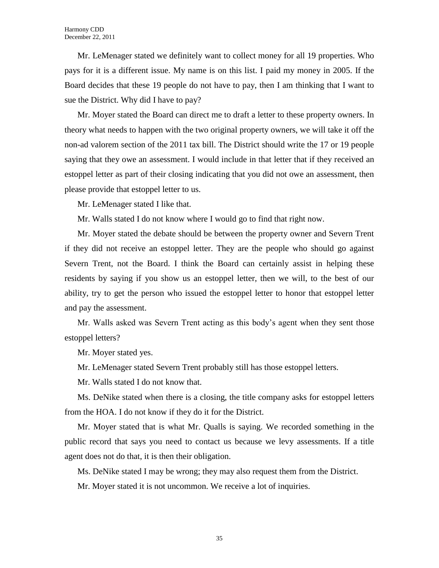Mr. LeMenager stated we definitely want to collect money for all 19 properties. Who pays for it is a different issue. My name is on this list. I paid my money in 2005. If the Board decides that these 19 people do not have to pay, then I am thinking that I want to sue the District. Why did I have to pay?

Mr. Moyer stated the Board can direct me to draft a letter to these property owners. In theory what needs to happen with the two original property owners, we will take it off the non-ad valorem section of the 2011 tax bill. The District should write the 17 or 19 people saying that they owe an assessment. I would include in that letter that if they received an estoppel letter as part of their closing indicating that you did not owe an assessment, then please provide that estoppel letter to us.

Mr. LeMenager stated I like that.

Mr. Walls stated I do not know where I would go to find that right now.

Mr. Moyer stated the debate should be between the property owner and Severn Trent if they did not receive an estoppel letter. They are the people who should go against Severn Trent, not the Board. I think the Board can certainly assist in helping these residents by saying if you show us an estoppel letter, then we will, to the best of our ability, try to get the person who issued the estoppel letter to honor that estoppel letter and pay the assessment.

Mr. Walls asked was Severn Trent acting as this body's agent when they sent those estoppel letters?

Mr. Moyer stated yes.

Mr. LeMenager stated Severn Trent probably still has those estoppel letters.

Mr. Walls stated I do not know that.

Ms. DeNike stated when there is a closing, the title company asks for estoppel letters from the HOA. I do not know if they do it for the District.

Mr. Moyer stated that is what Mr. Qualls is saying. We recorded something in the public record that says you need to contact us because we levy assessments. If a title agent does not do that, it is then their obligation.

Ms. DeNike stated I may be wrong; they may also request them from the District.

Mr. Moyer stated it is not uncommon. We receive a lot of inquiries.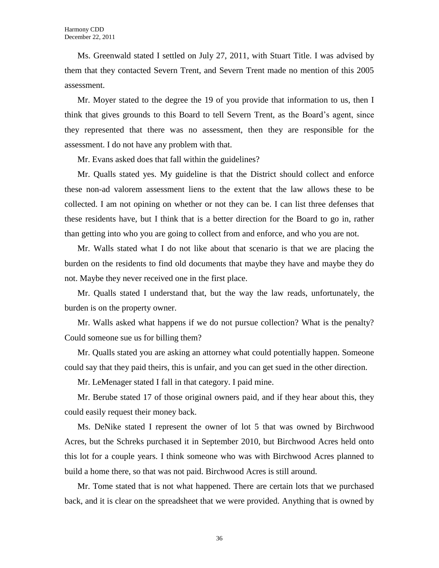Ms. Greenwald stated I settled on July 27, 2011, with Stuart Title. I was advised by them that they contacted Severn Trent, and Severn Trent made no mention of this 2005 assessment.

Mr. Moyer stated to the degree the 19 of you provide that information to us, then I think that gives grounds to this Board to tell Severn Trent, as the Board's agent, since they represented that there was no assessment, then they are responsible for the assessment. I do not have any problem with that.

Mr. Evans asked does that fall within the guidelines?

Mr. Qualls stated yes. My guideline is that the District should collect and enforce these non-ad valorem assessment liens to the extent that the law allows these to be collected. I am not opining on whether or not they can be. I can list three defenses that these residents have, but I think that is a better direction for the Board to go in, rather than getting into who you are going to collect from and enforce, and who you are not.

Mr. Walls stated what I do not like about that scenario is that we are placing the burden on the residents to find old documents that maybe they have and maybe they do not. Maybe they never received one in the first place.

Mr. Qualls stated I understand that, but the way the law reads, unfortunately, the burden is on the property owner.

Mr. Walls asked what happens if we do not pursue collection? What is the penalty? Could someone sue us for billing them?

Mr. Qualls stated you are asking an attorney what could potentially happen. Someone could say that they paid theirs, this is unfair, and you can get sued in the other direction.

Mr. LeMenager stated I fall in that category. I paid mine.

Mr. Berube stated 17 of those original owners paid, and if they hear about this, they could easily request their money back.

Ms. DeNike stated I represent the owner of lot 5 that was owned by Birchwood Acres, but the Schreks purchased it in September 2010, but Birchwood Acres held onto this lot for a couple years. I think someone who was with Birchwood Acres planned to build a home there, so that was not paid. Birchwood Acres is still around.

Mr. Tome stated that is not what happened. There are certain lots that we purchased back, and it is clear on the spreadsheet that we were provided. Anything that is owned by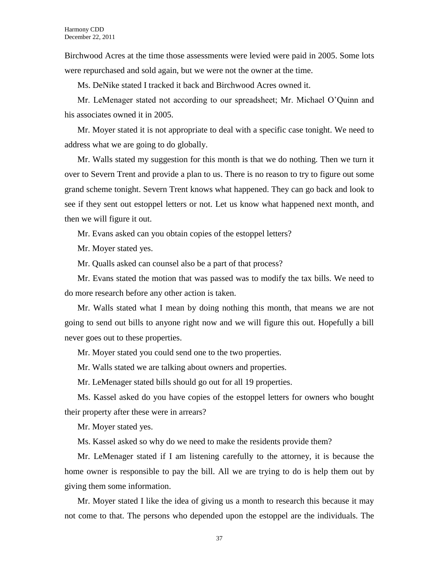Birchwood Acres at the time those assessments were levied were paid in 2005. Some lots were repurchased and sold again, but we were not the owner at the time.

Ms. DeNike stated I tracked it back and Birchwood Acres owned it.

Mr. LeMenager stated not according to our spreadsheet; Mr. Michael O'Quinn and his associates owned it in 2005.

Mr. Moyer stated it is not appropriate to deal with a specific case tonight. We need to address what we are going to do globally.

Mr. Walls stated my suggestion for this month is that we do nothing. Then we turn it over to Severn Trent and provide a plan to us. There is no reason to try to figure out some grand scheme tonight. Severn Trent knows what happened. They can go back and look to see if they sent out estoppel letters or not. Let us know what happened next month, and then we will figure it out.

Mr. Evans asked can you obtain copies of the estoppel letters?

Mr. Moyer stated yes.

Mr. Qualls asked can counsel also be a part of that process?

Mr. Evans stated the motion that was passed was to modify the tax bills. We need to do more research before any other action is taken.

Mr. Walls stated what I mean by doing nothing this month, that means we are not going to send out bills to anyone right now and we will figure this out. Hopefully a bill never goes out to these properties.

Mr. Moyer stated you could send one to the two properties.

Mr. Walls stated we are talking about owners and properties.

Mr. LeMenager stated bills should go out for all 19 properties.

Ms. Kassel asked do you have copies of the estoppel letters for owners who bought their property after these were in arrears?

Mr. Moyer stated yes.

Ms. Kassel asked so why do we need to make the residents provide them?

Mr. LeMenager stated if I am listening carefully to the attorney, it is because the home owner is responsible to pay the bill. All we are trying to do is help them out by giving them some information.

Mr. Moyer stated I like the idea of giving us a month to research this because it may not come to that. The persons who depended upon the estoppel are the individuals. The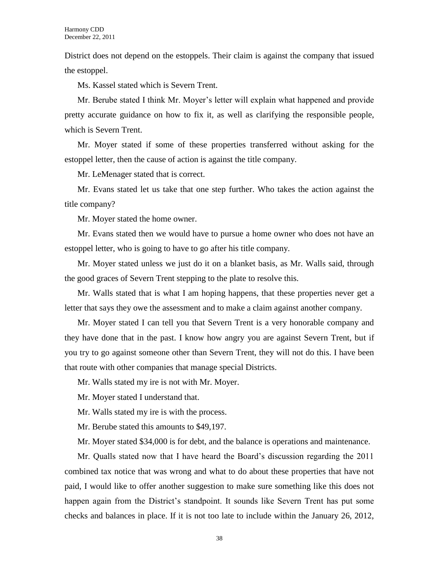District does not depend on the estoppels. Their claim is against the company that issued the estoppel.

Ms. Kassel stated which is Severn Trent.

Mr. Berube stated I think Mr. Moyer's letter will explain what happened and provide pretty accurate guidance on how to fix it, as well as clarifying the responsible people, which is Severn Trent.

Mr. Moyer stated if some of these properties transferred without asking for the estoppel letter, then the cause of action is against the title company.

Mr. LeMenager stated that is correct.

Mr. Evans stated let us take that one step further. Who takes the action against the title company?

Mr. Moyer stated the home owner.

Mr. Evans stated then we would have to pursue a home owner who does not have an estoppel letter, who is going to have to go after his title company.

Mr. Moyer stated unless we just do it on a blanket basis, as Mr. Walls said, through the good graces of Severn Trent stepping to the plate to resolve this.

Mr. Walls stated that is what I am hoping happens, that these properties never get a letter that says they owe the assessment and to make a claim against another company.

Mr. Moyer stated I can tell you that Severn Trent is a very honorable company and they have done that in the past. I know how angry you are against Severn Trent, but if you try to go against someone other than Severn Trent, they will not do this. I have been that route with other companies that manage special Districts.

Mr. Walls stated my ire is not with Mr. Moyer.

Mr. Moyer stated I understand that.

Mr. Walls stated my ire is with the process.

Mr. Berube stated this amounts to \$49,197.

Mr. Moyer stated \$34,000 is for debt, and the balance is operations and maintenance.

Mr. Qualls stated now that I have heard the Board's discussion regarding the 2011 combined tax notice that was wrong and what to do about these properties that have not paid, I would like to offer another suggestion to make sure something like this does not happen again from the District's standpoint. It sounds like Severn Trent has put some checks and balances in place. If it is not too late to include within the January 26, 2012,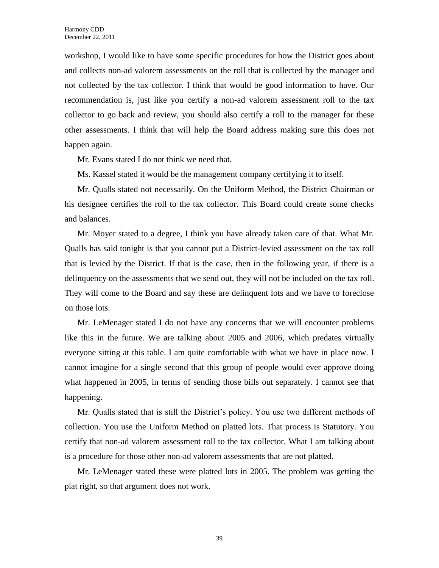workshop, I would like to have some specific procedures for how the District goes about and collects non-ad valorem assessments on the roll that is collected by the manager and not collected by the tax collector. I think that would be good information to have. Our recommendation is, just like you certify a non-ad valorem assessment roll to the tax collector to go back and review, you should also certify a roll to the manager for these other assessments. I think that will help the Board address making sure this does not happen again.

Mr. Evans stated I do not think we need that.

Ms. Kassel stated it would be the management company certifying it to itself.

Mr. Qualls stated not necessarily. On the Uniform Method, the District Chairman or his designee certifies the roll to the tax collector. This Board could create some checks and balances.

Mr. Moyer stated to a degree, I think you have already taken care of that. What Mr. Qualls has said tonight is that you cannot put a District-levied assessment on the tax roll that is levied by the District. If that is the case, then in the following year, if there is a delinquency on the assessments that we send out, they will not be included on the tax roll. They will come to the Board and say these are delinquent lots and we have to foreclose on those lots.

Mr. LeMenager stated I do not have any concerns that we will encounter problems like this in the future. We are talking about 2005 and 2006, which predates virtually everyone sitting at this table. I am quite comfortable with what we have in place now. I cannot imagine for a single second that this group of people would ever approve doing what happened in 2005, in terms of sending those bills out separately. I cannot see that happening.

Mr. Qualls stated that is still the District's policy. You use two different methods of collection. You use the Uniform Method on platted lots. That process is Statutory. You certify that non-ad valorem assessment roll to the tax collector. What I am talking about is a procedure for those other non-ad valorem assessments that are not platted.

Mr. LeMenager stated these were platted lots in 2005. The problem was getting the plat right, so that argument does not work.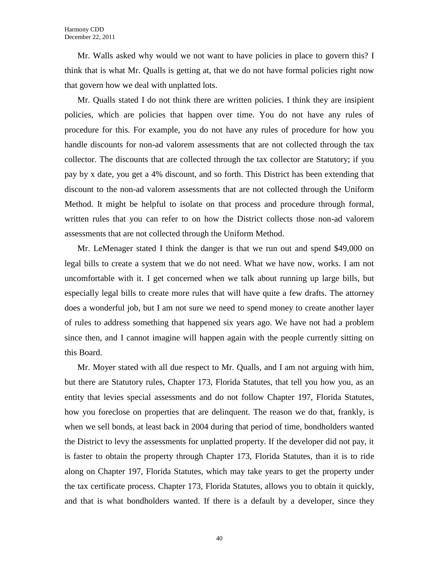Mr. Walls asked why would we not want to have policies in place to govern this? I think that is what Mr. Qualls is getting at, that we do not have formal policies right now that govern how we deal with unplatted lots.

Mr. Qualls stated I do not think there are written policies. I think they are insipient policies, which are policies that happen over time. You do not have any rules of procedure for this. For example, you do not have any rules of procedure for how you handle discounts for non-ad valorem assessments that are not collected through the tax collector. The discounts that are collected through the tax collector are Statutory; if you pay by x date, you get a 4% discount, and so forth. This District has been extending that discount to the non-ad valorem assessments that are not collected through the Uniform Method. It might be helpful to isolate on that process and procedure through formal, written rules that you can refer to on how the District collects those non-ad valorem assessments that are not collected through the Uniform Method.

Mr. LeMenager stated I think the danger is that we run out and spend \$49,000 on legal bills to create a system that we do not need. What we have now, works. I am not uncomfortable with it. I get concerned when we talk about running up large bills, but especially legal bills to create more rules that will have quite a few drafts. The attorney does a wonderful job, but I am not sure we need to spend money to create another layer of rules to address something that happened six years ago. We have not had a problem since then, and I cannot imagine will happen again with the people currently sitting on this Board.

Mr. Moyer stated with all due respect to Mr. Qualls, and I am not arguing with him, but there are Statutory rules, Chapter 173, Florida Statutes, that tell you how you, as an entity that levies special assessments and do not follow Chapter 197, Florida Statutes, how you foreclose on properties that are delinquent. The reason we do that, frankly, is when we sell bonds, at least back in 2004 during that period of time, bondholders wanted the District to levy the assessments for unplatted property. If the developer did not pay, it is faster to obtain the property through Chapter 173, Florida Statutes, than it is to ride along on Chapter 197, Florida Statutes, which may take years to get the property under the tax certificate process. Chapter 173, Florida Statutes, allows you to obtain it quickly, and that is what bondholders wanted. If there is a default by a developer, since they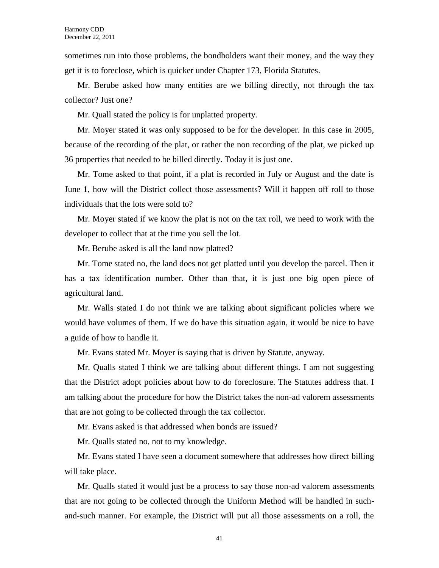sometimes run into those problems, the bondholders want their money, and the way they get it is to foreclose, which is quicker under Chapter 173, Florida Statutes.

Mr. Berube asked how many entities are we billing directly, not through the tax collector? Just one?

Mr. Quall stated the policy is for unplatted property.

Mr. Moyer stated it was only supposed to be for the developer. In this case in 2005, because of the recording of the plat, or rather the non recording of the plat, we picked up 36 properties that needed to be billed directly. Today it is just one.

Mr. Tome asked to that point, if a plat is recorded in July or August and the date is June 1, how will the District collect those assessments? Will it happen off roll to those individuals that the lots were sold to?

Mr. Moyer stated if we know the plat is not on the tax roll, we need to work with the developer to collect that at the time you sell the lot.

Mr. Berube asked is all the land now platted?

Mr. Tome stated no, the land does not get platted until you develop the parcel. Then it has a tax identification number. Other than that, it is just one big open piece of agricultural land.

Mr. Walls stated I do not think we are talking about significant policies where we would have volumes of them. If we do have this situation again, it would be nice to have a guide of how to handle it.

Mr. Evans stated Mr. Moyer is saying that is driven by Statute, anyway.

Mr. Qualls stated I think we are talking about different things. I am not suggesting that the District adopt policies about how to do foreclosure. The Statutes address that. I am talking about the procedure for how the District takes the non-ad valorem assessments that are not going to be collected through the tax collector.

Mr. Evans asked is that addressed when bonds are issued?

Mr. Qualls stated no, not to my knowledge.

Mr. Evans stated I have seen a document somewhere that addresses how direct billing will take place.

Mr. Qualls stated it would just be a process to say those non-ad valorem assessments that are not going to be collected through the Uniform Method will be handled in suchand-such manner. For example, the District will put all those assessments on a roll, the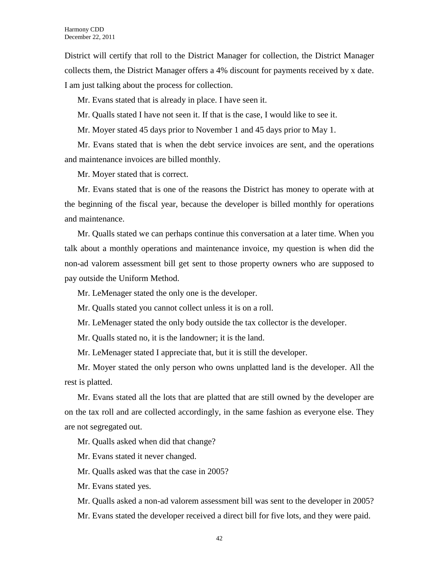District will certify that roll to the District Manager for collection, the District Manager collects them, the District Manager offers a 4% discount for payments received by x date. I am just talking about the process for collection.

Mr. Evans stated that is already in place. I have seen it.

Mr. Qualls stated I have not seen it. If that is the case, I would like to see it.

Mr. Moyer stated 45 days prior to November 1 and 45 days prior to May 1.

Mr. Evans stated that is when the debt service invoices are sent, and the operations and maintenance invoices are billed monthly.

Mr. Moyer stated that is correct.

Mr. Evans stated that is one of the reasons the District has money to operate with at the beginning of the fiscal year, because the developer is billed monthly for operations and maintenance.

Mr. Qualls stated we can perhaps continue this conversation at a later time. When you talk about a monthly operations and maintenance invoice, my question is when did the non-ad valorem assessment bill get sent to those property owners who are supposed to pay outside the Uniform Method.

Mr. LeMenager stated the only one is the developer.

Mr. Qualls stated you cannot collect unless it is on a roll.

Mr. LeMenager stated the only body outside the tax collector is the developer.

Mr. Qualls stated no, it is the landowner; it is the land.

Mr. LeMenager stated I appreciate that, but it is still the developer.

Mr. Moyer stated the only person who owns unplatted land is the developer. All the rest is platted.

Mr. Evans stated all the lots that are platted that are still owned by the developer are on the tax roll and are collected accordingly, in the same fashion as everyone else. They are not segregated out.

Mr. Qualls asked when did that change?

Mr. Evans stated it never changed.

Mr. Qualls asked was that the case in 2005?

Mr. Evans stated yes.

Mr. Qualls asked a non-ad valorem assessment bill was sent to the developer in 2005?

Mr. Evans stated the developer received a direct bill for five lots, and they were paid.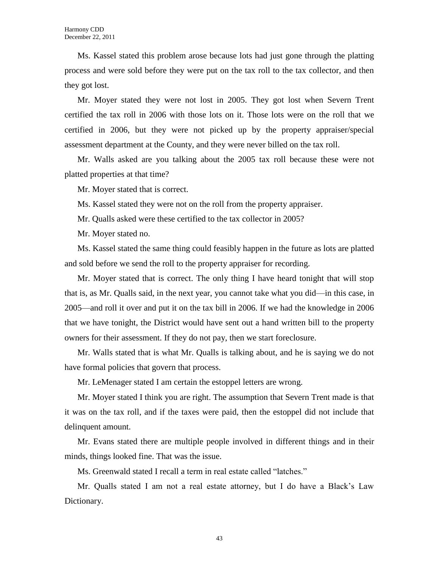Ms. Kassel stated this problem arose because lots had just gone through the platting process and were sold before they were put on the tax roll to the tax collector, and then they got lost.

Mr. Moyer stated they were not lost in 2005. They got lost when Severn Trent certified the tax roll in 2006 with those lots on it. Those lots were on the roll that we certified in 2006, but they were not picked up by the property appraiser/special assessment department at the County, and they were never billed on the tax roll.

Mr. Walls asked are you talking about the 2005 tax roll because these were not platted properties at that time?

Mr. Moyer stated that is correct.

Ms. Kassel stated they were not on the roll from the property appraiser.

Mr. Qualls asked were these certified to the tax collector in 2005?

Mr. Moyer stated no.

Ms. Kassel stated the same thing could feasibly happen in the future as lots are platted and sold before we send the roll to the property appraiser for recording.

Mr. Moyer stated that is correct. The only thing I have heard tonight that will stop that is, as Mr. Qualls said, in the next year, you cannot take what you did—in this case, in 2005—and roll it over and put it on the tax bill in 2006. If we had the knowledge in 2006 that we have tonight, the District would have sent out a hand written bill to the property owners for their assessment. If they do not pay, then we start foreclosure.

Mr. Walls stated that is what Mr. Qualls is talking about, and he is saying we do not have formal policies that govern that process.

Mr. LeMenager stated I am certain the estoppel letters are wrong.

Mr. Moyer stated I think you are right. The assumption that Severn Trent made is that it was on the tax roll, and if the taxes were paid, then the estoppel did not include that delinquent amount.

Mr. Evans stated there are multiple people involved in different things and in their minds, things looked fine. That was the issue.

Ms. Greenwald stated I recall a term in real estate called "latches."

Mr. Qualls stated I am not a real estate attorney, but I do have a Black's Law Dictionary.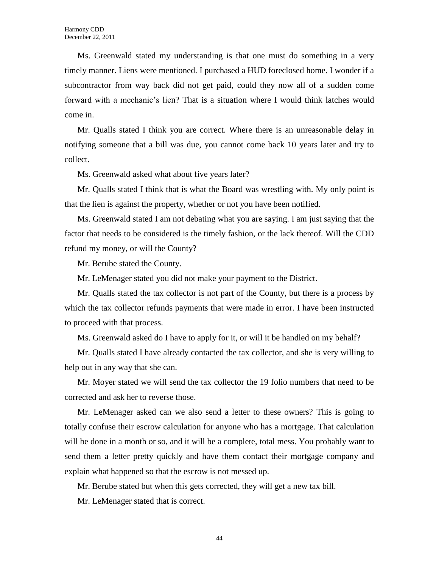Ms. Greenwald stated my understanding is that one must do something in a very timely manner. Liens were mentioned. I purchased a HUD foreclosed home. I wonder if a subcontractor from way back did not get paid, could they now all of a sudden come forward with a mechanic's lien? That is a situation where I would think latches would come in.

Mr. Qualls stated I think you are correct. Where there is an unreasonable delay in notifying someone that a bill was due, you cannot come back 10 years later and try to collect.

Ms. Greenwald asked what about five years later?

Mr. Qualls stated I think that is what the Board was wrestling with. My only point is that the lien is against the property, whether or not you have been notified.

Ms. Greenwald stated I am not debating what you are saying. I am just saying that the factor that needs to be considered is the timely fashion, or the lack thereof. Will the CDD refund my money, or will the County?

Mr. Berube stated the County.

Mr. LeMenager stated you did not make your payment to the District.

Mr. Qualls stated the tax collector is not part of the County, but there is a process by which the tax collector refunds payments that were made in error. I have been instructed to proceed with that process.

Ms. Greenwald asked do I have to apply for it, or will it be handled on my behalf?

Mr. Qualls stated I have already contacted the tax collector, and she is very willing to help out in any way that she can.

Mr. Moyer stated we will send the tax collector the 19 folio numbers that need to be corrected and ask her to reverse those.

Mr. LeMenager asked can we also send a letter to these owners? This is going to totally confuse their escrow calculation for anyone who has a mortgage. That calculation will be done in a month or so, and it will be a complete, total mess. You probably want to send them a letter pretty quickly and have them contact their mortgage company and explain what happened so that the escrow is not messed up.

Mr. Berube stated but when this gets corrected, they will get a new tax bill.

Mr. LeMenager stated that is correct.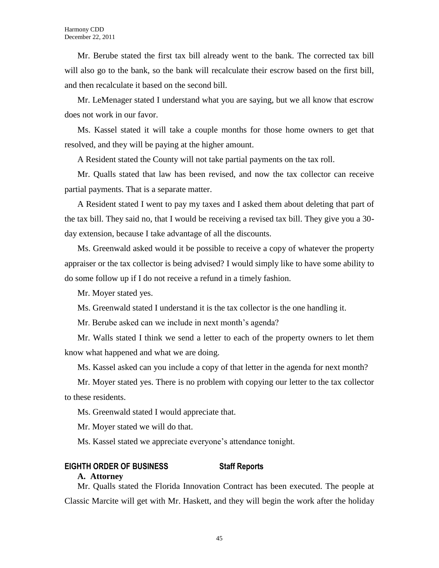Mr. Berube stated the first tax bill already went to the bank. The corrected tax bill will also go to the bank, so the bank will recalculate their escrow based on the first bill, and then recalculate it based on the second bill.

Mr. LeMenager stated I understand what you are saying, but we all know that escrow does not work in our favor.

Ms. Kassel stated it will take a couple months for those home owners to get that resolved, and they will be paying at the higher amount.

A Resident stated the County will not take partial payments on the tax roll.

Mr. Qualls stated that law has been revised, and now the tax collector can receive partial payments. That is a separate matter.

A Resident stated I went to pay my taxes and I asked them about deleting that part of the tax bill. They said no, that I would be receiving a revised tax bill. They give you a 30 day extension, because I take advantage of all the discounts.

Ms. Greenwald asked would it be possible to receive a copy of whatever the property appraiser or the tax collector is being advised? I would simply like to have some ability to do some follow up if I do not receive a refund in a timely fashion.

Mr. Moyer stated yes.

Ms. Greenwald stated I understand it is the tax collector is the one handling it.

Mr. Berube asked can we include in next month's agenda?

Mr. Walls stated I think we send a letter to each of the property owners to let them know what happened and what we are doing.

Ms. Kassel asked can you include a copy of that letter in the agenda for next month?

Mr. Moyer stated yes. There is no problem with copying our letter to the tax collector to these residents.

Ms. Greenwald stated I would appreciate that.

Mr. Moyer stated we will do that.

Ms. Kassel stated we appreciate everyone's attendance tonight.

# **EIGHTH ORDER OF BUSINESS Staff Reports**

# **A. Attorney**

Mr. Qualls stated the Florida Innovation Contract has been executed. The people at Classic Marcite will get with Mr. Haskett, and they will begin the work after the holiday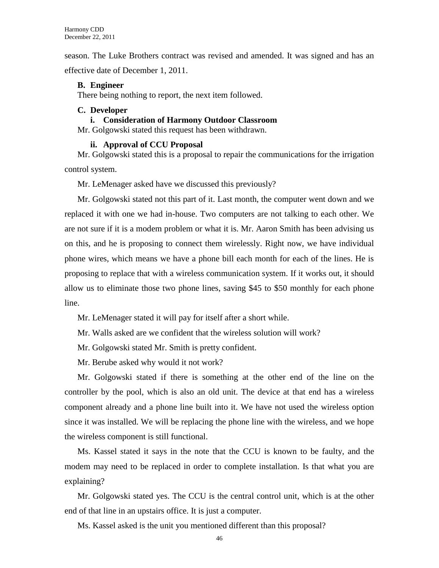season. The Luke Brothers contract was revised and amended. It was signed and has an effective date of December 1, 2011.

# **B. Engineer**

There being nothing to report, the next item followed.

# **C. Developer**

### **i. Consideration of Harmony Outdoor Classroom**

Mr. Golgowski stated this request has been withdrawn.

### **ii. Approval of CCU Proposal**

Mr. Golgowski stated this is a proposal to repair the communications for the irrigation control system.

Mr. LeMenager asked have we discussed this previously?

Mr. Golgowski stated not this part of it. Last month, the computer went down and we replaced it with one we had in-house. Two computers are not talking to each other. We are not sure if it is a modem problem or what it is. Mr. Aaron Smith has been advising us on this, and he is proposing to connect them wirelessly. Right now, we have individual phone wires, which means we have a phone bill each month for each of the lines. He is proposing to replace that with a wireless communication system. If it works out, it should allow us to eliminate those two phone lines, saving \$45 to \$50 monthly for each phone line.

Mr. LeMenager stated it will pay for itself after a short while.

Mr. Walls asked are we confident that the wireless solution will work?

Mr. Golgowski stated Mr. Smith is pretty confident.

Mr. Berube asked why would it not work?

Mr. Golgowski stated if there is something at the other end of the line on the controller by the pool, which is also an old unit. The device at that end has a wireless component already and a phone line built into it. We have not used the wireless option since it was installed. We will be replacing the phone line with the wireless, and we hope the wireless component is still functional.

Ms. Kassel stated it says in the note that the CCU is known to be faulty, and the modem may need to be replaced in order to complete installation. Is that what you are explaining?

Mr. Golgowski stated yes. The CCU is the central control unit, which is at the other end of that line in an upstairs office. It is just a computer.

Ms. Kassel asked is the unit you mentioned different than this proposal?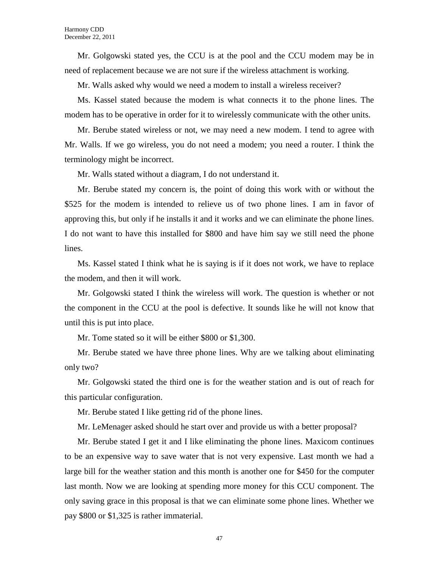Mr. Golgowski stated yes, the CCU is at the pool and the CCU modem may be in need of replacement because we are not sure if the wireless attachment is working.

Mr. Walls asked why would we need a modem to install a wireless receiver?

Ms. Kassel stated because the modem is what connects it to the phone lines. The modem has to be operative in order for it to wirelessly communicate with the other units.

Mr. Berube stated wireless or not, we may need a new modem. I tend to agree with Mr. Walls. If we go wireless, you do not need a modem; you need a router. I think the terminology might be incorrect.

Mr. Walls stated without a diagram, I do not understand it.

Mr. Berube stated my concern is, the point of doing this work with or without the \$525 for the modem is intended to relieve us of two phone lines. I am in favor of approving this, but only if he installs it and it works and we can eliminate the phone lines. I do not want to have this installed for \$800 and have him say we still need the phone lines.

Ms. Kassel stated I think what he is saying is if it does not work, we have to replace the modem, and then it will work.

Mr. Golgowski stated I think the wireless will work. The question is whether or not the component in the CCU at the pool is defective. It sounds like he will not know that until this is put into place.

Mr. Tome stated so it will be either \$800 or \$1,300.

Mr. Berube stated we have three phone lines. Why are we talking about eliminating only two?

Mr. Golgowski stated the third one is for the weather station and is out of reach for this particular configuration.

Mr. Berube stated I like getting rid of the phone lines.

Mr. LeMenager asked should he start over and provide us with a better proposal?

Mr. Berube stated I get it and I like eliminating the phone lines. Maxicom continues to be an expensive way to save water that is not very expensive. Last month we had a large bill for the weather station and this month is another one for \$450 for the computer last month. Now we are looking at spending more money for this CCU component. The only saving grace in this proposal is that we can eliminate some phone lines. Whether we pay \$800 or \$1,325 is rather immaterial.

47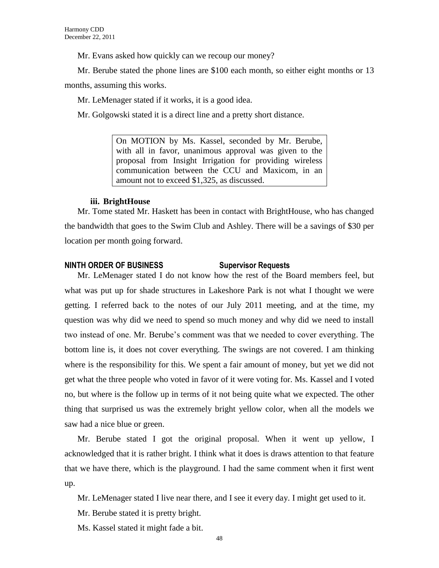Mr. Evans asked how quickly can we recoup our money?

Mr. Berube stated the phone lines are \$100 each month, so either eight months or 13

months, assuming this works.

Mr. LeMenager stated if it works, it is a good idea.

Mr. Golgowski stated it is a direct line and a pretty short distance.

On MOTION by Ms. Kassel, seconded by Mr. Berube, with all in favor, unanimous approval was given to the proposal from Insight Irrigation for providing wireless communication between the CCU and Maxicom, in an amount not to exceed \$1,325, as discussed.

# **iii. BrightHouse**

Mr. Tome stated Mr. Haskett has been in contact with BrightHouse, who has changed the bandwidth that goes to the Swim Club and Ashley. There will be a savings of \$30 per location per month going forward.

# **NINTH ORDER OF BUSINESS Supervisor Requests**

Mr. LeMenager stated I do not know how the rest of the Board members feel, but what was put up for shade structures in Lakeshore Park is not what I thought we were getting. I referred back to the notes of our July 2011 meeting, and at the time, my question was why did we need to spend so much money and why did we need to install two instead of one. Mr. Berube's comment was that we needed to cover everything. The bottom line is, it does not cover everything. The swings are not covered. I am thinking where is the responsibility for this. We spent a fair amount of money, but yet we did not get what the three people who voted in favor of it were voting for. Ms. Kassel and I voted no, but where is the follow up in terms of it not being quite what we expected. The other thing that surprised us was the extremely bright yellow color, when all the models we saw had a nice blue or green.

Mr. Berube stated I got the original proposal. When it went up yellow, I acknowledged that it is rather bright. I think what it does is draws attention to that feature that we have there, which is the playground. I had the same comment when it first went up.

Mr. LeMenager stated I live near there, and I see it every day. I might get used to it.

Mr. Berube stated it is pretty bright.

Ms. Kassel stated it might fade a bit.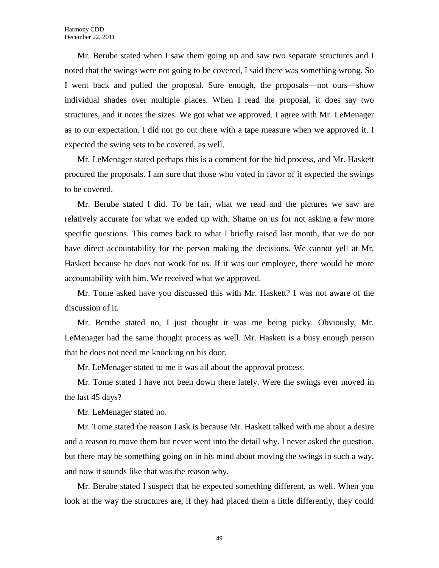Mr. Berube stated when I saw them going up and saw two separate structures and I noted that the swings were not going to be covered, I said there was something wrong. So I went back and pulled the proposal. Sure enough, the proposals—not ours—show individual shades over multiple places. When I read the proposal, it does say two structures, and it notes the sizes. We got what we approved. I agree with Mr. LeMenager as to our expectation. I did not go out there with a tape measure when we approved it. I expected the swing sets to be covered, as well.

Mr. LeMenager stated perhaps this is a comment for the bid process, and Mr. Haskett procured the proposals. I am sure that those who voted in favor of it expected the swings to be covered.

Mr. Berube stated I did. To be fair, what we read and the pictures we saw are relatively accurate for what we ended up with. Shame on us for not asking a few more specific questions. This comes back to what I briefly raised last month, that we do not have direct accountability for the person making the decisions. We cannot yell at Mr. Haskett because he does not work for us. If it was our employee, there would be more accountability with him. We received what we approved.

Mr. Tome asked have you discussed this with Mr. Haskett? I was not aware of the discussion of it.

Mr. Berube stated no, I just thought it was me being picky. Obviously, Mr. LeMenager had the same thought process as well. Mr. Haskett is a busy enough person that he does not need me knocking on his door.

Mr. LeMenager stated to me it was all about the approval process.

Mr. Tome stated I have not been down there lately. Were the swings ever moved in the last 45 days?

Mr. LeMenager stated no.

Mr. Tome stated the reason I ask is because Mr. Haskett talked with me about a desire and a reason to move them but never went into the detail why. I never asked the question, but there may be something going on in his mind about moving the swings in such a way, and now it sounds like that was the reason why.

Mr. Berube stated I suspect that he expected something different, as well. When you look at the way the structures are, if they had placed them a little differently, they could